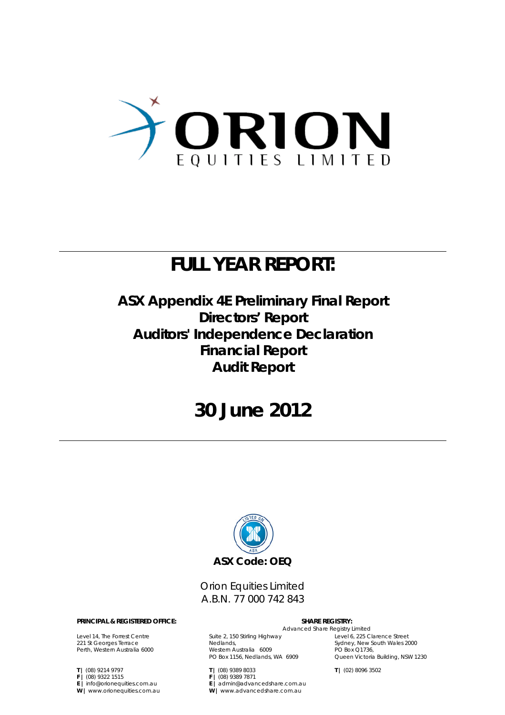

## **FULL YEAR REPORT:**

## **ASX Appendix 4E Preliminary Final Report Directors' Report Auditors' Independence Declaration Financial Report Audit Report**

## **30 June 2012**



Orion Equities Limited A.B.N. 77 000 742 843

#### **PRINCIPAL & REGISTERED OFFICE: SHARE REGISTRY:**

Level 14, The Forrest Centre 221 St Georges Terrace Perth, Western Australia 6000

**T |** (08) 9214 9797 **F |** (08) 9322 1515 **E |** info@orionequities.com.au **W |** www.orionequities.com.au

## Advanced Share Registry Limited

Suite 2, 150 Stirling Highway Nedlands, Western Australia 6009 PO Box 1156, Nedlands, WA 6909

**E |** admin@advancedshare.com.au **W |** www.advancedshare.com.au

**T |** (08) 9389 8033 **F |** (08) 9389 7871

PO Box Q1736, Queen Victoria Building, NSW 1230

**T |** (02) 8096 3502

Level 6, 225 Clarence Street Sydney, New South Wales 2000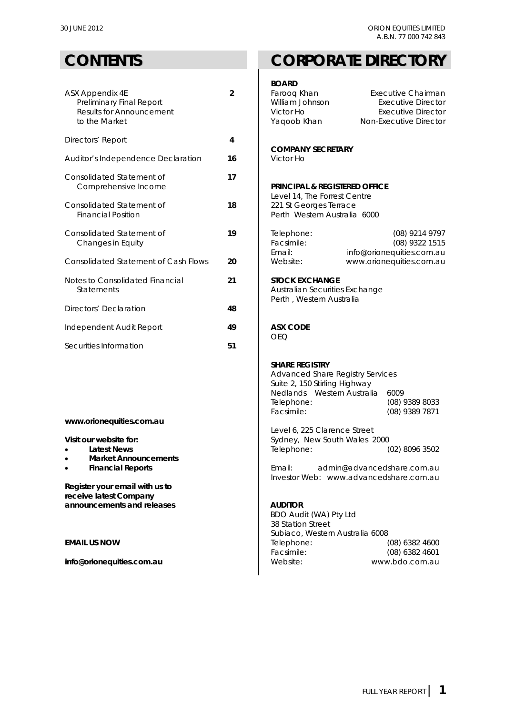| ASX Appendix 4E<br>Preliminary Final Report<br><b>Results for Announcement</b><br>to the Market | $\overline{2}$ | DUARD<br>Faroog Khan<br>William Johnson<br>Victor Ho<br>Yaqoob Khan                 | Executive Chairman<br><b>Executive Director</b><br><b>Executive Director</b><br>Non-Executive Director |
|-------------------------------------------------------------------------------------------------|----------------|-------------------------------------------------------------------------------------|--------------------------------------------------------------------------------------------------------|
| Directors' Report                                                                               | 4              | <b>COMPANY SECRETARY</b>                                                            |                                                                                                        |
| Auditor's Independence Declaration                                                              | 16             | Victor Ho                                                                           |                                                                                                        |
| Consolidated Statement of<br>Comprehensive Income                                               | 17             | <b>PRINCIPAL &amp; REGISTERED OFFICE</b><br>Level 14, The Forrest Centre            |                                                                                                        |
| Consolidated Statement of<br><b>Financial Position</b>                                          | 18             | 221 St Georges Terrace<br>Perth Western Australia 6000                              |                                                                                                        |
| Consolidated Statement of<br>Changes in Equity                                                  | 19             | Telephone:<br>Facsimile:<br>Email:                                                  | (08) 9214 9797<br>(08) 9322 1515<br>info@orionequities.com.au                                          |
| <b>Consolidated Statement of Cash Flows</b>                                                     | 20             | Website:                                                                            | www.orionequities.com.au                                                                               |
| Notes to Consolidated Financial<br><b>Statements</b>                                            | 21             | <b>STOCK EXCHANGE</b><br>Australian Securities Exchange<br>Perth, Western Australia |                                                                                                        |
| Directors' Declaration                                                                          | 48             |                                                                                     |                                                                                                        |
| Independent Audit Report                                                                        | 49             | <b>ASX CODE</b><br><b>OEQ</b>                                                       |                                                                                                        |
| Securities Information                                                                          | 51             |                                                                                     |                                                                                                        |

**www.orionequities.com.au** 

- 
- **Market Announcements**
- 

**Register your email with us to receive latest Company**  announcements and releases **AUDITOR** 

## **CONTENTS CORPORATE DIRECTORY**

#### **BOARD**

| K Appendix 4E<br>Preliminary Final Report<br><b>Results for Announcement</b><br>to the Market | $\mathfrak{p}$ | Farooq Khan<br>William Johnson<br>Victor Ho<br>Yaqoob Khan | Executive Chairman<br>Executive Director<br>Executive Director<br>Non-Executive Director |
|-----------------------------------------------------------------------------------------------|----------------|------------------------------------------------------------|------------------------------------------------------------------------------------------|
| ectors' Report                                                                                | 4              |                                                            |                                                                                          |
| ditor's Independence Declaration                                                              | 16             | <b>COMPANY SECRETARY</b><br>Victor Ho                      |                                                                                          |
| nsolidated Statement of                                                                       |                |                                                            |                                                                                          |

## **PRINCIPAL & REGISTERED OFFICE**

| Consolidated Statement of            | 19 | Telephone: | $(08)$ 9214 9797          |
|--------------------------------------|----|------------|---------------------------|
| Changes in Equity                    |    | Facsimile: | $(08)$ 9322 1515          |
|                                      |    | Fmail:     | info@orionequities.com.au |
| Consolidated Statement of Cash Flows | 20 | Website:   | www.orionequities.com.au  |

#### **STOCK EXCHANGE**

## **ASX CODE**

### **SHARE REGISTRY**

 Advanced Share Registry Services Suite 2, 150 Stirling Highway Nedlands Western Australia 6009 Telephone: (08) 9389 8033 Facsimile: (08) 9389 7871

 Level 6, 225 Clarence Street **Visit our website for: Sydney, New South Wales 2000** Latest News **Latest News Telephone:** (02) 8096 3502

 **Financial Reports** Email: admin@advancedshare.com.au Investor Web: www.advancedshare.com.au

 BDO Audit (WA) Pty Ltd 38 Station Street Subiaco, Western Australia 6008 **EMAIL US NOW** Telephone: (08) 6382 4600<br>
Facsimile: (08) 6382 4601 (08) 6382 4601 **info@orionequities.com.au <br>
Website:** Website: www.bdo.com.au <br>
Website: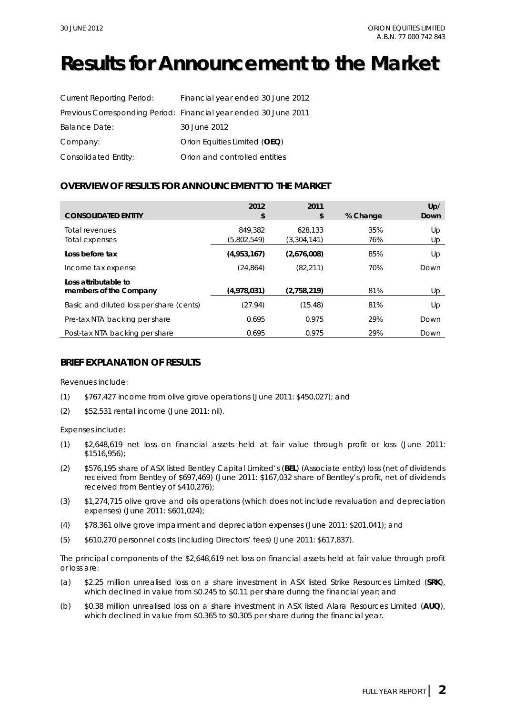## **Results for Announcement to the Market**

| <b>Current Reporting Period:</b> | Financial year ended 30 June 2012                                |
|----------------------------------|------------------------------------------------------------------|
|                                  | Previous Corresponding Period: Financial year ended 30 June 2011 |
| <b>Balance Date:</b>             | 30 June 2012                                                     |
| Company:                         | Orion Equities Limited (OEQ)                                     |
| Consolidated Entity:             | Orion and controlled entities                                    |

## **OVERVIEW OF RESULTS FOR ANNOUNCEMENT TO THE MARKET**

| <b>CONSOLIDATED ENTITY</b>                     | 2012<br>\$             | 2011<br>\$             | % Change   | Up/<br><b>Down</b> |
|------------------------------------------------|------------------------|------------------------|------------|--------------------|
| Total revenues<br>Total expenses               | 849,382<br>(5,802,549) | 628.133<br>(3,304,141) | 35%<br>76% | Up<br>Up           |
| Loss before tax                                | (4,953,167)            | (2,676,008)            | 85%        | Up                 |
| Income tax expense                             | (24, 864)              | (82, 211)              | 70%        | Down               |
| Loss attributable to<br>members of the Company | (4,978,031)            | (2,758,219)            | 81%        | Up                 |
| Basic and diluted loss per share (cents)       | (27.94)                | (15.48)                | 81%        | Up                 |
| Pre-tax NTA backing per share                  | 0.695                  | 0.975                  | 29%        | Down               |
| Post-tax NTA backing per share                 | 0.695                  | 0.975                  | 29%        | Down               |

### **BRIEF EXPLANATION OF RESULTS**

Revenues include:

- (1) \$767,427 income from olive grove operations (June 2011: \$450,027); and
- (2) \$52,531 rental income (June 2011: nil).

Expenses include:

- (1) \$2,648,619 net loss on financial assets held at fair value through profit or loss (June 2011: \$1516,956);
- (2) \$576,195 share of ASX listed Bentley Capital Limited's (**BEL**) (Associate entity) loss (net of dividends received from Bentley of \$697,469) (June 2011: \$167,032 share of Bentley's profit, net of dividends received from Bentley of \$410,276);
- (3) \$1,274,715 olive grove and oils operations (which does not include revaluation and depreciation expenses) (June 2011: \$601,024);
- (4) \$78,361 olive grove impairment and depreciation expenses (June 2011: \$201,041); and
- (5) \$610,270 personnel costs (including Directors' fees) (June 2011: \$617,837).

The principal components of the \$2,648,619 net loss on financial assets held at fair value through profit or loss are:

- (a) \$2.25 million unrealised loss on a share investment in ASX listed Strike Resources Limited (**SRK**), which declined in value from \$0.245 to \$0.11 per share during the financial year; and
- (b) \$0.38 million unrealised loss on a share investment in ASX listed Alara Resources Limited (**AUQ**), which declined in value from \$0.365 to \$0.305 per share during the financial year.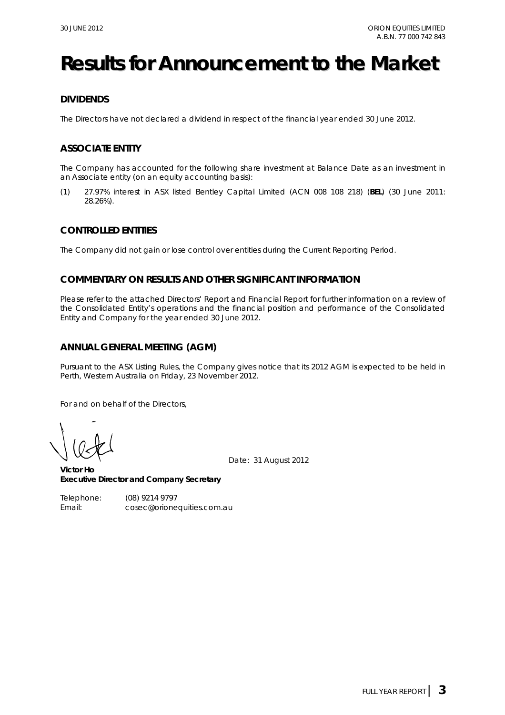## **Results for Announcement to the Market**

## **DIVIDENDS**

The Directors have not declared a dividend in respect of the financial year ended 30 June 2012.

## **ASSOCIATE ENTITY**

The Company has accounted for the following share investment at Balance Date as an investment in an Associate entity (on an equity accounting basis):

(1) 27.97% interest in ASX listed Bentley Capital Limited (ACN 008 108 218) (**BEL**) (30 June 2011: 28.26%).

### **CONTROLLED ENTITIES**

The Company did not gain or lose control over entities during the Current Reporting Period.

### **COMMENTARY ON RESULTS AND OTHER SIGNIFICANT INFORMATION**

Please refer to the attached Directors' Report and Financial Report for further information on a review of the Consolidated Entity's operations and the financial position and performance of the Consolidated Entity and Company for the year ended 30 June 2012.

### **ANNUAL GENERAL MEETING (AGM)**

Pursuant to the ASX Listing Rules, the Company gives notice that its 2012 AGM is expected to be held in Perth, Western Australia on Friday, 23 November 2012.

For and on behalf of the Directors,

Date: 31 August 2012

**Victor Ho Executive Director and Company Secretary** 

Telephone: (08) 9214 9797 Email: cosec@orionequities.com.au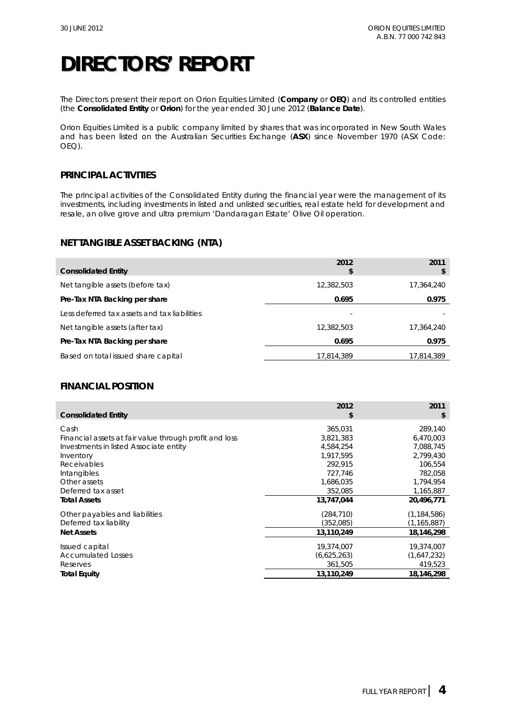The Directors present their report on Orion Equities Limited (**Company** or **OEQ**) and its controlled entities (the **Consolidated Entity** or **Orion**) for the year ended 30 June 2012 (**Balance Date**).

Orion Equities Limited is a public company limited by shares that was incorporated in New South Wales and has been listed on the Australian Securities Exchange (**ASX**) since November 1970 (ASX Code: OEQ).

## **PRINCIPAL ACTIVITIES**

The principal activities of the Consolidated Entity during the financial year were the management of its investments, including investments in listed and unlisted securities, real estate held for development and resale, an olive grove and ultra premium 'Dandaragan Estate' Olive Oil operation.

## **NET TANGIBLE ASSET BACKING (NTA)**

| <b>Consolidated Entity</b>                   | 2012<br>\$ | 2011<br>S  |
|----------------------------------------------|------------|------------|
| Net tangible assets (before tax)             | 12,382,503 | 17,364,240 |
| Pre-Tax NTA Backing per share                | 0.695      | 0.975      |
| Less deferred tax assets and tax liabilities |            |            |
| Net tangible assets (after tax)              | 12,382,503 | 17,364,240 |
| Pre-Tax NTA Backing per share                | 0.695      | 0.975      |
| Based on total issued share capital          | 17,814,389 | 17,814,389 |

## **FINANCIAL POSITION**

| <b>Consolidated Entity</b>                             | 2012<br>\$  | 2011<br>\$    |
|--------------------------------------------------------|-------------|---------------|
| Cash                                                   | 365,031     | 289,140       |
| Financial assets at fair value through profit and loss | 3,821,383   | 6,470,003     |
| Investments in listed Associate entity                 | 4,584,254   | 7,088,745     |
| Inventory                                              | 1,917,595   | 2,799,430     |
| Receivables                                            | 292,915     | 106,554       |
| Intangibles                                            | 727,746     | 782,058       |
| Other assets                                           | 1,686,035   | 1,794,954     |
| Deferred tax asset                                     | 352,085     | 1,165,887     |
| <b>Total Assets</b>                                    | 13,747,044  | 20,496,771    |
| Other payables and liabilities                         | (284, 710)  | (1, 184, 586) |
| Deferred tax liability                                 | (352,085)   | (1, 165, 887) |
| <b>Net Assets</b>                                      | 13,110,249  | 18,146,298    |
| Issued capital                                         | 19,374,007  | 19,374,007    |
| <b>Accumulated Losses</b>                              | (6,625,263) | (1,647,232)   |
| Reserves                                               | 361,505     | 419,523       |
| Total Equity                                           | 13,110,249  | 18,146,298    |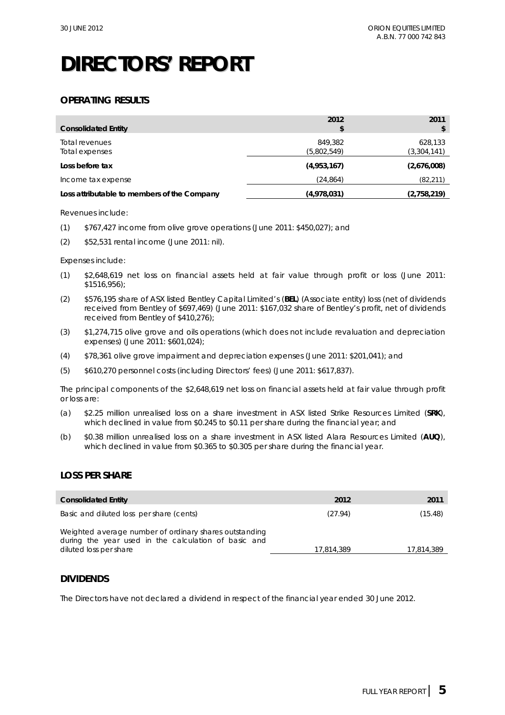## **OPERATING RESULTS**

| <b>Consolidated Entity</b>                  | 2012                   | 2011                   |
|---------------------------------------------|------------------------|------------------------|
| Total revenues<br>Total expenses            | 849,382<br>(5,802,549) | 628,133<br>(3,304,141) |
| Loss before tax                             | (4,953,167)            | (2,676,008)            |
| Income tax expense                          | (24, 864)              | (82, 211)              |
| Loss attributable to members of the Company | (4,978,031)            | (2,758,219)            |

#### Revenues include:

(1) \$767,427 income from olive grove operations (June 2011: \$450,027); and

(2) \$52,531 rental income (June 2011: nil).

#### Expenses include:

- (1) \$2,648,619 net loss on financial assets held at fair value through profit or loss (June 2011: \$1516,956);
- (2) \$576,195 share of ASX listed Bentley Capital Limited's (**BEL**) (Associate entity) loss (net of dividends received from Bentley of \$697,469) (June 2011: \$167,032 share of Bentley's profit, net of dividends received from Bentley of \$410,276);
- (3) \$1,274,715 olive grove and oils operations (which does not include revaluation and depreciation expenses) (June 2011: \$601,024);
- (4) \$78,361 olive grove impairment and depreciation expenses (June 2011: \$201,041); and
- (5) \$610,270 personnel costs (including Directors' fees) (June 2011: \$617,837).

The principal components of the \$2,648,619 net loss on financial assets held at fair value through profit or loss are:

- (a) \$2.25 million unrealised loss on a share investment in ASX listed Strike Resources Limited (**SRK**), which declined in value from \$0.245 to \$0.11 per share during the financial year; and
- (b) \$0.38 million unrealised loss on a share investment in ASX listed Alara Resources Limited (**AUQ**), which declined in value from \$0.365 to \$0.305 per share during the financial year.

### **LOSS PER SHARE**

| <b>Consolidated Entity</b>                                                                                                               | 2012       | 2011       |
|------------------------------------------------------------------------------------------------------------------------------------------|------------|------------|
| Basic and diluted loss per share (cents)                                                                                                 | (27.94)    | (15.48)    |
| Weighted average number of ordinary shares outstanding<br>during the year used in the calculation of basic and<br>diluted loss per share | 17,814,389 | 17,814,389 |

### **DIVIDENDS**

The Directors have not declared a dividend in respect of the financial year ended 30 June 2012.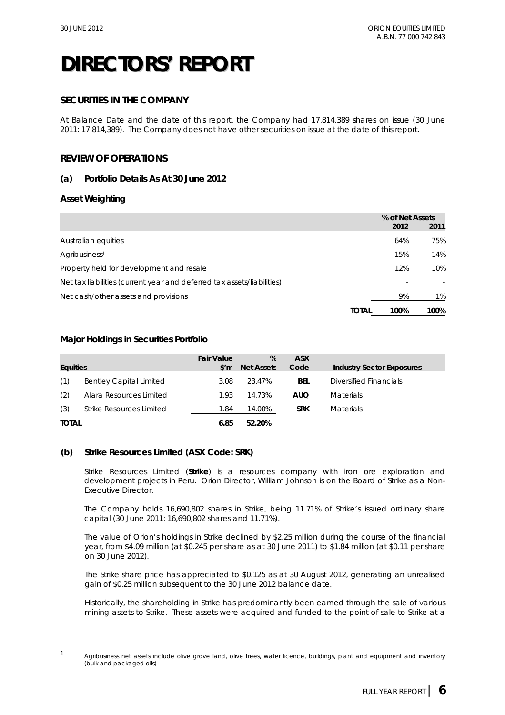## **SECURITIES IN THE COMPANY**

At Balance Date and the date of this report, the Company had 17,814,389 shares on issue (30 June 2011: 17,814,389). The Company does not have other securities on issue at the date of this report.

## **REVIEW OF OPERATIONS**

### **(a) Portfolio Details As At 30 June 2012**

### **Asset Weighting**

|                                                                        |              | % of Net Assets |      |
|------------------------------------------------------------------------|--------------|-----------------|------|
|                                                                        |              | 2012            | 2011 |
| Australian equities                                                    |              | 64%             | 75%  |
| Agribusiness <sup>1</sup>                                              |              | 15%             | 14%  |
| Property held for development and resale                               |              | 12%             | 10%  |
| Net tax liabilities (current year and deferred tax assets/liabilities) |              |                 |      |
| Net cash/other assets and provisions                                   |              | 9%              | 1%   |
|                                                                        | <b>TOTAL</b> | 100%            | 100% |

### **Major Holdings in Securities Portfolio**

| <b>Equities</b> |                                | <b>Fair Value</b><br>$\mathsf{S}'\mathsf{m}$ | %<br><b>Net Assets</b> | <b>ASX</b><br>Code | <b>Industry Sector Exposures</b> |
|-----------------|--------------------------------|----------------------------------------------|------------------------|--------------------|----------------------------------|
| (1)             | <b>Bentley Capital Limited</b> | 3.08                                         | 23.47%                 | <b>BEL</b>         | Diversified Financials           |
| (2)             | Alara Resources Limited        | 1.93                                         | 14.73%                 | AUQ                | <b>Materials</b>                 |
| (3)             | Strike Resources Limited       | 1.84                                         | 14.00%                 | <b>SRK</b>         | <b>Materials</b>                 |
| <b>TOTAL</b>    |                                | 6.85                                         | 52.20%                 |                    |                                  |

### **(b) Strike Resources Limited (ASX Code: SRK)**

Strike Resources Limited (**Strike**) is a resources company with iron ore exploration and development projects in Peru. Orion Director, William Johnson is on the Board of Strike as a Non-Executive Director.

The Company holds 16,690,802 shares in Strike, being 11.71% of Strike's issued ordinary share capital (30 June 2011: 16,690,802 shares and 11.71%).

The value of Orion's holdings in Strike declined by \$2.25 million during the course of the financial year, from \$4.09 million (at \$0.245 per share as at 30 June 2011) to \$1.84 million (at \$0.11 per share on 30 June 2012).

The Strike share price has appreciated to \$0.125 as at 30 August 2012, generating an unrealised gain of \$0.25 million subsequent to the 30 June 2012 balance date.

Historically, the shareholding in Strike has predominantly been earned through the sale of various mining assets to Strike. These assets were acquired and funded to the point of sale to Strike at a

 $\overline{a}$ 

 $1$  Agribusiness net assets include olive grove land, olive trees, water licence, buildings, plant and equipment and inventory (bulk and packaged oils)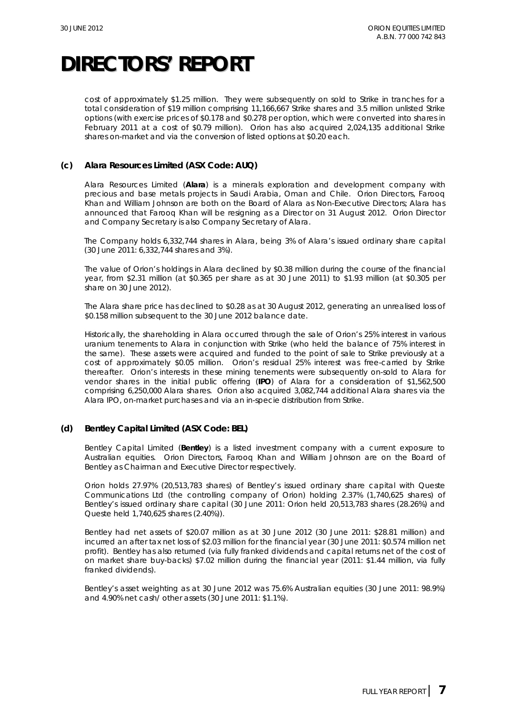cost of approximately \$1.25 million. They were subsequently on sold to Strike in tranches for a total consideration of \$19 million comprising 11,166,667 Strike shares and 3.5 million unlisted Strike options (with exercise prices of \$0.178 and \$0.278 per option, which were converted into shares in February 2011 at a cost of \$0.79 million). Orion has also acquired 2,024,135 additional Strike shares on-market and via the conversion of listed options at \$0.20 each.

### **(c) Alara Resources Limited (ASX Code: AUQ)**

Alara Resources Limited (**Alara**) is a minerals exploration and development company with precious and base metals projects in Saudi Arabia, Oman and Chile. Orion Directors, Farooq Khan and William Johnson are both on the Board of Alara as Non-Executive Directors; Alara has announced that Farooq Khan will be resigning as a Director on 31 August 2012. Orion Director and Company Secretary is also Company Secretary of Alara.

The Company holds 6,332,744 shares in Alara, being 3% of Alara's issued ordinary share capital (30 June 2011: 6,332,744 shares and 3%).

The value of Orion's holdings in Alara declined by \$0.38 million during the course of the financial year, from \$2.31 million (at \$0.365 per share as at 30 June 2011) to \$1.93 million (at \$0.305 per share on 30 June 2012).

The Alara share price has declined to \$0.28 as at 30 August 2012, generating an unrealised loss of \$0.158 million subsequent to the 30 June 2012 balance date.

Historically, the shareholding in Alara occurred through the sale of Orion's 25% interest in various uranium tenements to Alara in conjunction with Strike (who held the balance of 75% interest in the same). These assets were acquired and funded to the point of sale to Strike previously at a cost of approximately \$0.05 million. Orion's residual 25% interest was free-carried by Strike thereafter. Orion's interests in these mining tenements were subsequently on-sold to Alara for vendor shares in the initial public offering (**IPO**) of Alara for a consideration of \$1,562,500 comprising 6,250,000 Alara shares. Orion also acquired 3,082,744 additional Alara shares via the Alara IPO, on-market purchases and via an in-specie distribution from Strike.

### **(d) Bentley Capital Limited (ASX Code: BEL)**

Bentley Capital Limited (**Bentley**) is a listed investment company with a current exposure to Australian equities. Orion Directors, Farooq Khan and William Johnson are on the Board of Bentley as Chairman and Executive Director respectively.

Orion holds 27.97% (20,513,783 shares) of Bentley's issued ordinary share capital with Queste Communications Ltd (the controlling company of Orion) holding 2.37% (1,740,625 shares) of Bentley's issued ordinary share capital (30 June 2011: Orion held 20,513,783 shares (28.26%) and Queste held 1,740,625 shares (2.40%)).

Bentley had net assets of \$20.07 million as at 30 June 2012 (30 June 2011: \$28.81 million) and incurred an after tax net loss of \$2.03 million for the financial year (30 June 2011: \$0.574 million net profit). Bentley has also returned (via fully franked dividends and capital returns net of the cost of on market share buy-backs) \$7.02 million during the financial year (2011: \$1.44 million, via fully franked dividends).

Bentley's asset weighting as at 30 June 2012 was 75.6% Australian equities (30 June 2011: 98.9%) and 4.90% net cash/ other assets (30 June 2011: \$1.1%).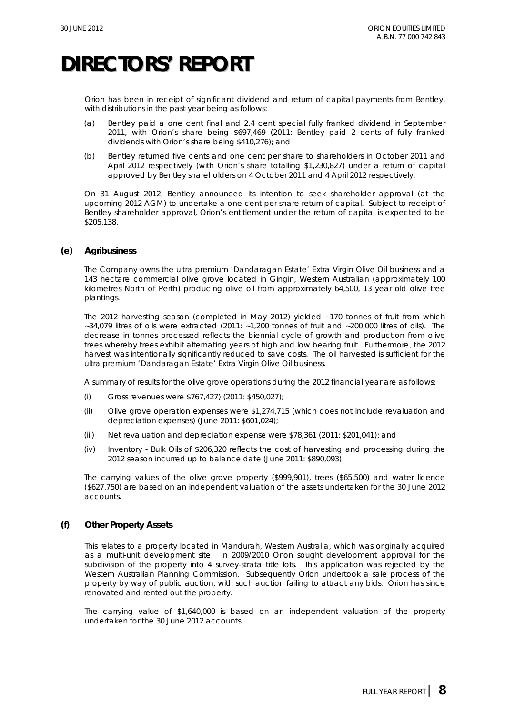Orion has been in receipt of significant dividend and return of capital payments from Bentley, with distributions in the past year being as follows:

- (a) Bentley paid a one cent final and 2.4 cent special fully franked dividend in September 2011, with Orion's share being \$697,469 (2011: Bentley paid 2 cents of fully franked dividends with Orion's share being \$410,276); and
- (b) Bentley returned five cents and one cent per share to shareholders in October 2011 and April 2012 respectively (with Orion's share totalling \$1,230,827) under a return of capital approved by Bentley shareholders on 4 October 2011 and 4 April 2012 respectively.

On 31 August 2012, Bentley announced its intention to seek shareholder approval (at the upcoming 2012 AGM) to undertake a one cent per share return of capital. Subject to receipt of Bentley shareholder approval, Orion's entitlement under the return of capital is expected to be \$205,138.

### **(e) Agribusiness**

The Company owns the ultra premium 'Dandaragan Estate' Extra Virgin Olive Oil business and a 143 hectare commercial olive grove located in Gingin, Western Australian (approximately 100 kilometres North of Perth) producing olive oil from approximately 64,500, 13 year old olive tree plantings.

The 2012 harvesting season (completed in May 2012) yielded ~170 tonnes of fruit from which ~34,079 litres of oils were extracted (2011: ~1,200 tonnes of fruit and ~200,000 litres of oils). The decrease in tonnes processed reflects the biennial cycle of growth and production from olive trees whereby trees exhibit alternating years of high and low bearing fruit. Furthermore, the 2012 harvest was intentionally significantly reduced to save costs. The oil harvested is sufficient for the ultra premium 'Dandaragan Estate' Extra Virgin Olive Oil business.

A summary of results for the olive grove operations during the 2012 financial year are as follows:

- (i) Gross revenues were \$767,427) (2011: \$450,027);
- (ii) Olive grove operation expenses were \$1,274,715 (which does not include revaluation and depreciation expenses) (June 2011: \$601,024);
- (iii) Net revaluation and depreciation expense were \$78,361 (2011: \$201,041); and
- (iv) Inventory Bulk Oils of \$206,320 reflects the cost of harvesting and processing during the 2012 season incurred up to balance date (June 2011: \$890,093).

The carrying values of the olive grove property (\$999,901), trees (\$65,500) and water licence (\$627,750) are based on an independent valuation of the assets undertaken for the 30 June 2012 accounts.

### **(f) Other Property Assets**

This relates to a property located in Mandurah, Western Australia, which was originally acquired as a multi-unit development site. In 2009/2010 Orion sought development approval for the subdivision of the property into 4 survey-strata title lots. This application was rejected by the Western Australian Planning Commission. Subsequently Orion undertook a sale process of the property by way of public auction, with such auction failing to attract any bids. Orion has since renovated and rented out the property.

The carrying value of \$1,640,000 is based on an independent valuation of the property undertaken for the 30 June 2012 accounts.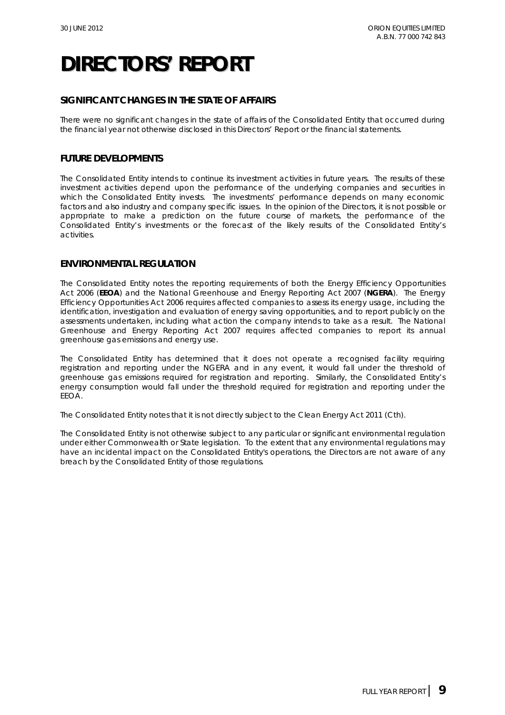## **SIGNIFICANT CHANGES IN THE STATE OF AFFAIRS**

There were no significant changes in the state of affairs of the Consolidated Entity that occurred during the financial year not otherwise disclosed in this Directors' Report or the financial statements.

## **FUTURE DEVELOPMENTS**

The Consolidated Entity intends to continue its investment activities in future years. The results of these investment activities depend upon the performance of the underlying companies and securities in which the Consolidated Entity invests. The investments' performance depends on many economic factors and also industry and company specific issues. In the opinion of the Directors, it is not possible or appropriate to make a prediction on the future course of markets, the performance of the Consolidated Entity's investments or the forecast of the likely results of the Consolidated Entity's activities.

### **ENVIRONMENTAL REGULATION**

The Consolidated Entity notes the reporting requirements of both the *Energy Efficiency Opportunities Act 2006* (**EEOA**) and the *National Greenhouse and Energy Reporting Act 2007* (**NGERA**).The *Energy Efficiency Opportunities Act 2006* requires affected companies to assess its energy usage, including the identification, investigation and evaluation of energy saving opportunities, and to report publicly on the assessments undertaken, including what action the company intends to take as a result. The *National Greenhouse and Energy Reporting Act 2007* requires affected companies to report its annual greenhouse gas emissions and energy use.

The Consolidated Entity has determined that it does not operate a recognised facility requiring registration and reporting under the NGERA and in any event, it would fall under the threshold of greenhouse gas emissions required for registration and reporting. Similarly, the Consolidated Entity's energy consumption would fall under the threshold required for registration and reporting under the EEOA.

The Consolidated Entity notes that it is not directly subject to the *Clean Energy Act 2011 (Cth)*.

The Consolidated Entity is not otherwise subject to any particular or significant environmental regulation under either Commonwealth or State legislation. To the extent that any environmental regulations may have an incidental impact on the Consolidated Entity's operations, the Directors are not aware of any breach by the Consolidated Entity of those regulations.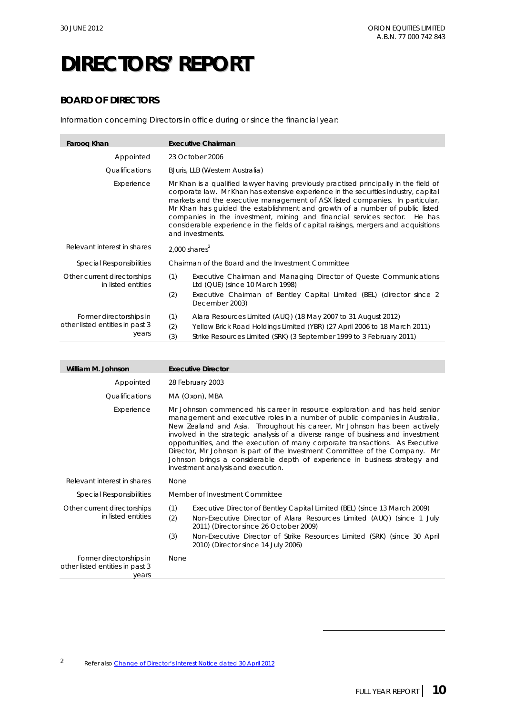## **BOARD OF DIRECTORS**

Information concerning Directors in office during or since the financial year:

| Faroog Khan                                                         | <b>Executive Chairman</b>                                                                                                                                                                                                                                                                                                                                                                                                                                                                                                            |  |  |
|---------------------------------------------------------------------|--------------------------------------------------------------------------------------------------------------------------------------------------------------------------------------------------------------------------------------------------------------------------------------------------------------------------------------------------------------------------------------------------------------------------------------------------------------------------------------------------------------------------------------|--|--|
| Appointed                                                           | 23 October 2006                                                                                                                                                                                                                                                                                                                                                                                                                                                                                                                      |  |  |
| Qualifications                                                      | BJuris, LLB (Western Australia)                                                                                                                                                                                                                                                                                                                                                                                                                                                                                                      |  |  |
| Experience                                                          | Mr Khan is a qualified lawyer having previously practised principally in the field of<br>corporate law. Mr Khan has extensive experience in the securities industry, capital<br>markets and the executive management of ASX listed companies. In particular,<br>Mr Khan has quided the establishment and growth of a number of public listed<br>companies in the investment, mining and financial services sector. He has<br>considerable experience in the fields of capital raisings, mergers and acquisitions<br>and investments. |  |  |
| Relevant interest in shares                                         | 2,000 shares $2$                                                                                                                                                                                                                                                                                                                                                                                                                                                                                                                     |  |  |
| Special Responsibilities                                            | Chairman of the Board and the Investment Committee                                                                                                                                                                                                                                                                                                                                                                                                                                                                                   |  |  |
| Other current directorships<br>in listed entities                   | (1)<br>Executive Chairman and Managing Director of Queste Communications<br>Ltd (QUE) (since 10 March 1998)<br>(2)<br>Executive Chairman of Bentley Capital Limited (BEL) (director since 2<br>December 2003)                                                                                                                                                                                                                                                                                                                        |  |  |
| Former directorships in<br>other listed entities in past 3<br>years | (1)<br>Alara Resources Limited (AUQ) (18 May 2007 to 31 August 2012)<br>(2)<br>Yellow Brick Road Holdings Limited (YBR) (27 April 2006 to 18 March 2011)<br>(3)<br>Strike Resources Limited (SRK) (3 September 1999 to 3 February 2011)                                                                                                                                                                                                                                                                                              |  |  |

| William M. Johnson                                                  | <b>Executive Director</b>                                                                                                                                                                                                                                                                                                                                                                                                                                                                                                                                                                                        |
|---------------------------------------------------------------------|------------------------------------------------------------------------------------------------------------------------------------------------------------------------------------------------------------------------------------------------------------------------------------------------------------------------------------------------------------------------------------------------------------------------------------------------------------------------------------------------------------------------------------------------------------------------------------------------------------------|
| Appointed                                                           | 28 February 2003                                                                                                                                                                                                                                                                                                                                                                                                                                                                                                                                                                                                 |
| Qualifications                                                      | MA (Oxon), MBA                                                                                                                                                                                                                                                                                                                                                                                                                                                                                                                                                                                                   |
| Experience                                                          | Mr Johnson commenced his career in resource exploration and has held senior<br>management and executive roles in a number of public companies in Australia,<br>New Zealand and Asia. Throughout his career, Mr Johnson has been actively<br>involved in the strategic analysis of a diverse range of business and investment<br>opportunities, and the execution of many corporate transactions. As Executive<br>Director, Mr Johnson is part of the Investment Committee of the Company. Mr<br>Johnson brings a considerable depth of experience in business strategy and<br>investment analysis and execution. |
| Relevant interest in shares                                         | <b>None</b>                                                                                                                                                                                                                                                                                                                                                                                                                                                                                                                                                                                                      |
| Special Responsibilities                                            | Member of Investment Committee                                                                                                                                                                                                                                                                                                                                                                                                                                                                                                                                                                                   |
| Other current directorships<br>in listed entities                   | (1)<br>Executive Director of Bentley Capital Limited (BEL) (since 13 March 2009)<br>(2)<br>Non-Executive Director of Alara Resources Limited (AUQ) (since 1 July<br>2011) (Director since 26 October 2009)<br>(3)<br>Non-Executive Director of Strike Resources Limited (SRK) (since 30 April<br>2010) (Director since 14 July 2006)                                                                                                                                                                                                                                                                             |
| Former directorships in<br>other listed entities in past 3<br>vears | None                                                                                                                                                                                                                                                                                                                                                                                                                                                                                                                                                                                                             |

 $\overline{a}$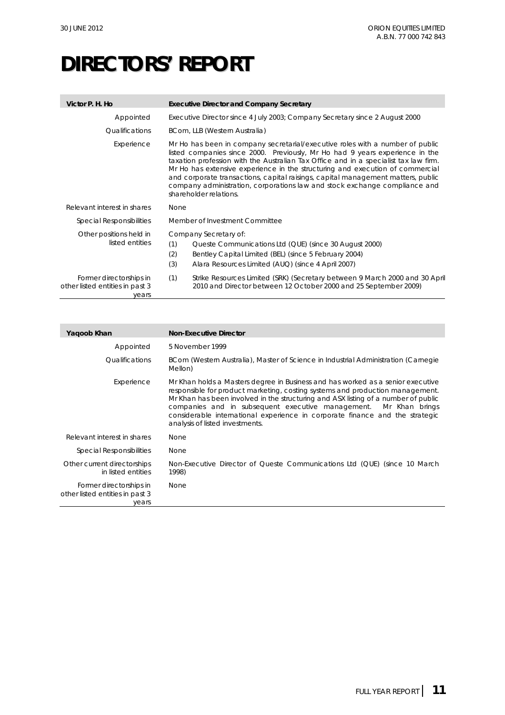| Victor P. H. Ho                                                     | <b>Executive Director and Company Secretary</b>                                                                                                                                                                                                                                                                                                                                                                                                                                                                                    |
|---------------------------------------------------------------------|------------------------------------------------------------------------------------------------------------------------------------------------------------------------------------------------------------------------------------------------------------------------------------------------------------------------------------------------------------------------------------------------------------------------------------------------------------------------------------------------------------------------------------|
| Appointed                                                           | Executive Director since 4 July 2003; Company Secretary since 2 August 2000                                                                                                                                                                                                                                                                                                                                                                                                                                                        |
| <i><u><b>Oualifications</b></u></i>                                 | BCom, LLB (Western Australia)                                                                                                                                                                                                                                                                                                                                                                                                                                                                                                      |
| Experience                                                          | Mr Ho has been in company secretarial/executive roles with a number of public<br>listed companies since 2000. Previously, Mr Ho had 9 years experience in the<br>taxation profession with the Australian Tax Office and in a specialist tax law firm.<br>Mr Ho has extensive experience in the structuring and execution of commercial<br>and corporate transactions, capital raisings, capital management matters, public<br>company administration, corporations law and stock exchange compliance and<br>shareholder relations. |
| Relevant interest in shares                                         | <b>None</b>                                                                                                                                                                                                                                                                                                                                                                                                                                                                                                                        |
| <i>Special Responsibilities</i>                                     | Member of Investment Committee                                                                                                                                                                                                                                                                                                                                                                                                                                                                                                     |
| Other positions held in<br>listed entities                          | Company Secretary of:<br>(1)<br>Queste Communications Ltd (QUE) (since 30 August 2000)<br>(2)<br>Bentley Capital Limited (BEL) (since 5 February 2004)<br>(3)<br>Alara Resources Limited (AUQ) (since 4 April 2007)                                                                                                                                                                                                                                                                                                                |
| Former directorships in<br>other listed entities in past 3<br>vears | (1)<br>Strike Resources Limited (SRK) (Secretary between 9 March 2000 and 30 April<br>2010 and Director between 12 October 2000 and 25 September 2009)                                                                                                                                                                                                                                                                                                                                                                             |

| Yaqoob Khan                                                         | <b>Non-Executive Director</b>                                                                                                                                                                                                                                                                                                                                                                                                                 |
|---------------------------------------------------------------------|-----------------------------------------------------------------------------------------------------------------------------------------------------------------------------------------------------------------------------------------------------------------------------------------------------------------------------------------------------------------------------------------------------------------------------------------------|
| Appointed                                                           | 5 November 1999                                                                                                                                                                                                                                                                                                                                                                                                                               |
| <i><u><b>Oualifications</b></u></i>                                 | BCom (Western Australia), Master of Science in Industrial Administration (Carnegie<br>Mellon)                                                                                                                                                                                                                                                                                                                                                 |
| Experience                                                          | Mr Khan holds a Masters degree in Business and has worked as a senior executive<br>responsible for product marketing, costing systems and production management.<br>Mr Khan has been involved in the structuring and ASX listing of a number of public<br>companies and in subsequent executive management. Mr Khan brings<br>considerable international experience in corporate finance and the strategic<br>analysis of listed investments. |
| Relevant interest in shares                                         | <b>None</b>                                                                                                                                                                                                                                                                                                                                                                                                                                   |
| <b>Special Responsibilities</b>                                     | None                                                                                                                                                                                                                                                                                                                                                                                                                                          |
| Other current directorships<br>in listed entities                   | Non-Executive Director of Queste Communications Ltd (QUE) (since 10 March<br>1998)                                                                                                                                                                                                                                                                                                                                                            |
| Former directorships in<br>other listed entities in past 3<br>vears | <b>None</b>                                                                                                                                                                                                                                                                                                                                                                                                                                   |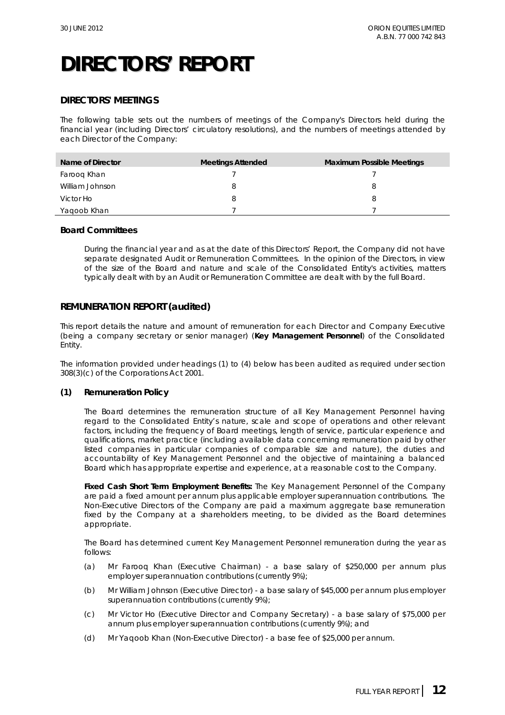### **DIRECTORS' MEETINGS**

The following table sets out the numbers of meetings of the Company's Directors held during the financial year (including Directors' circulatory resolutions), and the numbers of meetings attended by each Director of the Company:

| Name of Director | <b>Meetings Attended</b> | <b>Maximum Possible Meetings</b> |
|------------------|--------------------------|----------------------------------|
| Faroog Khan      |                          |                                  |
| William Johnson  |                          |                                  |
| Victor Ho        | 8                        |                                  |
| Yagoob Khan      |                          |                                  |

### **Board Committees**

During the financial year and as at the date of this Directors' Report, the Company did not have separate designated Audit or Remuneration Committees. In the opinion of the Directors, in view of the size of the Board and nature and scale of the Consolidated Entity's activities, matters typically dealt with by an Audit or Remuneration Committee are dealt with by the full Board.

### **REMUNERATION REPORT (audited)**

This report details the nature and amount of remuneration for each Director and Company Executive (being a company secretary or senior manager) (**Key Management Personnel**) of the Consolidated Entity.

The information provided under headings (1) to (4) below has been audited as required under section 308(3)(c) of the *Corporations Act 2001*.

### **(1) Remuneration Policy**

The Board determines the remuneration structure of all Key Management Personnel having regard to the Consolidated Entity's nature, scale and scope of operations and other relevant factors, including the frequency of Board meetings, length of service, particular experience and qualifications, market practice (including available data concerning remuneration paid by other listed companies in particular companies of comparable size and nature), the duties and accountability of Key Management Personnel and the objective of maintaining a balanced Board which has appropriate expertise and experience, at a reasonable cost to the Company.

**Fixed Cash Short Term Employment Benefits:** The Key Management Personnel of the Company are paid a fixed amount per annum plus applicable employer superannuation contributions. The Non-Executive Directors of the Company are paid a maximum aggregate base remuneration fixed by the Company at a shareholders meeting, to be divided as the Board determines appropriate.

The Board has determined current Key Management Personnel remuneration during the year as follows:

- (a) Mr Farooq Khan (Executive Chairman) a base salary of \$250,000 per annum plus employer superannuation contributions (currently 9%);
- (b) Mr William Johnson (Executive Director) a base salary of \$45,000 per annum plus employer superannuation contributions (currently 9%);
- (c) Mr Victor Ho (Executive Director and Company Secretary) a base salary of \$75,000 per annum plus employer superannuation contributions (currently 9%); and
- (d) Mr Yaqoob Khan (Non-Executive Director) a base fee of \$25,000 per annum.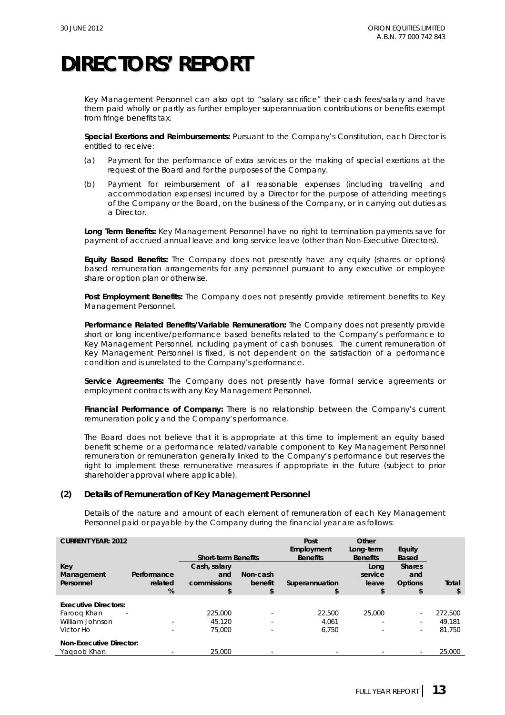Key Management Personnel can also opt to "salary sacrifice" their cash fees/salary and have them paid wholly or partly as further employer superannuation contributions or benefits exempt from fringe benefits tax.

**Special Exertions and Reimbursements:** Pursuant to the Company's Constitution, each Director is entitled to receive:

- (a) Payment for the performance of extra services or the making of special exertions at the request of the Board and for the purposes of the Company.
- (b) Payment for reimbursement of all reasonable expenses (including travelling and accommodation expenses) incurred by a Director for the purpose of attending meetings of the Company or the Board, on the business of the Company, or in carrying out duties as a Director.

**Long Term Benefits:** Key Management Personnel have no right to termination payments save for payment of accrued annual leave and long service leave (other than Non-Executive Directors).

**Equity Based Benefits:** The Company does not presently have any equity (shares or options) based remuneration arrangements for any personnel pursuant to any executive or employee share or option plan or otherwise.

**Post Employment Benefits:** The Company does not presently provide retirement benefits to Key Management Personnel.

**Performance Related Benefits/Variable Remuneration:** The Company does not presently provide short or long incentive/performance based benefits related to the Company's performance to Key Management Personnel, including payment of cash bonuses. The current remuneration of Key Management Personnel is fixed, is not dependent on the satisfaction of a performance condition and is unrelated to the Company's performance.

**Service Agreements:** The Company does not presently have formal service agreements or employment contracts with any Key Management Personnel.

**Financial Performance of Company:** There is no relationship between the Company's current remuneration policy and the Company's performance.

The Board does not believe that it is appropriate at this time to implement an equity based benefit scheme or a performance related/variable component to Key Management Personnel remuneration or remuneration generally linked to the Company's performance but reserves the right to implement these remunerative measures if appropriate in the future (subject to prior shareholder approval where applicable).

### **(2) Details of Remuneration of Key Management Personnel**

Details of the nature and amount of each element of remuneration of each Key Management Personnel paid or payable by the Company during the financial year are as follows:

| <b>CURRENT YEAR: 2012</b>               |                             | <b>Short-term Benefits</b>               |                            | Post<br>Employment<br><b>Benefits</b> | Other<br>Long-term<br><b>Benefits</b> | Equity<br><b>Based</b>                       |             |
|-----------------------------------------|-----------------------------|------------------------------------------|----------------------------|---------------------------------------|---------------------------------------|----------------------------------------------|-------------|
| Key<br>Management<br>Personnel          | Performance<br>related<br>% | Cash, salary<br>and<br>commissions<br>\$ | Non-cash<br>benefit<br>\$. | Superannuation                        | Long<br>service<br>leave<br>\$        | <b>Shares</b><br>and<br><b>Options</b><br>\$ | Total<br>\$ |
|                                         |                             |                                          |                            |                                       |                                       |                                              |             |
| <b>Executive Directors:</b>             |                             |                                          |                            |                                       |                                       |                                              |             |
| Faroog Khan<br>$\overline{\phantom{a}}$ |                             | 225,000                                  | ٠                          | 22.500                                | 25,000                                | $\sim$                                       | 272.500     |
| William Johnson                         |                             | 45.120                                   | $\overline{\phantom{a}}$   | 4.061                                 |                                       |                                              | 49.181      |
| Victor Ho                               | $\overline{\phantom{a}}$    | 75,000                                   | $\overline{\phantom{a}}$   | 6.750                                 |                                       | ٠                                            | 81.750      |
| <b>Non-Executive Director:</b>          |                             |                                          |                            |                                       |                                       |                                              |             |
| Yagoob Khan                             |                             | 25,000                                   | $\overline{\phantom{a}}$   |                                       |                                       |                                              | 25,000      |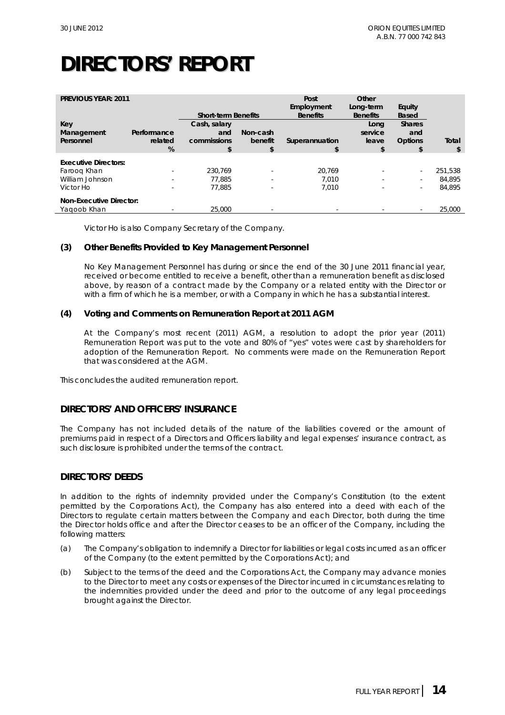| <b>PREVIOUS YEAR: 2011</b>     |                             | <b>Short-term Benefits</b>               |                           | Post<br>Employment<br><b>Benefits</b> | Other<br>Long-term<br><b>Benefits</b> | Equity<br><b>Based</b>                |             |
|--------------------------------|-----------------------------|------------------------------------------|---------------------------|---------------------------------------|---------------------------------------|---------------------------------------|-------------|
| Key<br>Management<br>Personnel | Performance<br>related<br>% | Cash, salary<br>and<br>commissions<br>\$ | Non-cash<br>benefit<br>\$ | Superannuation                        | Lona<br>service<br>leave<br>\$        | <b>Shares</b><br>and<br>Options<br>\$ | Total<br>\$ |
| <b>Executive Directors:</b>    |                             |                                          |                           |                                       |                                       |                                       |             |
| Faroog Khan                    | $\sim$                      | 230.769                                  | ٠                         | 20.769                                |                                       | $\sim$                                | 251.538     |
| William Johnson                | $\sim$                      | 77.885                                   | $\sim$                    | 7.010                                 | $\overline{\phantom{a}}$              | $\overline{\phantom{a}}$              | 84.895      |
| Victor Ho                      |                             | 77.885                                   |                           | 7.010                                 |                                       | $\overline{\phantom{a}}$              | 84.895      |
| <b>Non-Executive Director:</b> |                             |                                          |                           |                                       |                                       |                                       |             |
| Yagoob Khan                    |                             | 25,000                                   | $\overline{\phantom{a}}$  |                                       |                                       | $\overline{\phantom{a}}$              | 25,000      |

Victor Ho is also Company Secretary of the Company.

### **(3) Other Benefits Provided to Key Management Personnel**

No Key Management Personnel has during or since the end of the 30 June 2011 financial year, received or become entitled to receive a benefit, other than a remuneration benefit as disclosed above, by reason of a contract made by the Company or a related entity with the Director or with a firm of which he is a member, or with a Company in which he has a substantial interest.

### **(4) Voting and Comments on Remuneration Report at 2011 AGM**

At the Company's most recent (2011) AGM, a resolution to adopt the prior year (2011) Remuneration Report was put to the vote and 80% of "yes" votes were cast by shareholders for adoption of the Remuneration Report. No comments were made on the Remuneration Report that was considered at the AGM.

This concludes the audited remuneration report.

### **DIRECTORS' AND OFFICERS' INSURANCE**

The Company has not included details of the nature of the liabilities covered or the amount of premiums paid in respect of a Directors and Officers liability and legal expenses' insurance contract, as such disclosure is prohibited under the terms of the contract.

### **DIRECTORS' DEEDS**

In addition to the rights of indemnity provided under the Company's Constitution (to the extent permitted by the Corporations Act), the Company has also entered into a deed with each of the Directors to regulate certain matters between the Company and each Director, both during the time the Director holds office and after the Director ceases to be an officer of the Company, including the following matters:

- (a) The Company's obligation to indemnify a Director for liabilities or legal costs incurred as an officer of the Company (to the extent permitted by the Corporations Act); and
- (b) Subject to the terms of the deed and the Corporations Act, the Company may advance monies to the Director to meet any costs or expenses of the Director incurred in circumstances relating to the indemnities provided under the deed and prior to the outcome of any legal proceedings brought against the Director.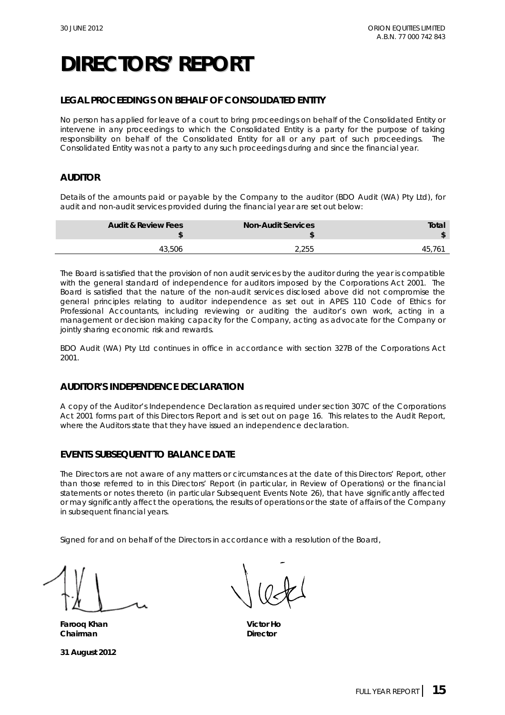## **LEGAL PROCEEDINGS ON BEHALF OF CONSOLIDATED ENTITY**

No person has applied for leave of a court to bring proceedings on behalf of the Consolidated Entity or intervene in any proceedings to which the Consolidated Entity is a party for the purpose of taking responsibility on behalf of the Consolidated Entity for all or any part of such proceedings. The Consolidated Entity was not a party to any such proceedings during and since the financial year.

## **AUDITOR**

Details of the amounts paid or payable by the Company to the auditor (BDO Audit (WA) Pty Ltd), for audit and non-audit services provided during the financial year are set out below:

| <b>Total</b> | <b>Non-Audit Services</b> | <b>Audit &amp; Review Fees</b> |
|--------------|---------------------------|--------------------------------|
| 45           | 2.255                     | 43,506                         |

The Board is satisfied that the provision of non audit services by the auditor during the year is compatible with the general standard of independence for auditors imposed by the *Corporations Act 2001.* The Board is satisfied that the nature of the non-audit services disclosed above did not compromise the general principles relating to auditor independence as set out in APES 110 Code of Ethics for Professional Accountants, including reviewing or auditing the auditor's own work, acting in a management or decision making capacity for the Company, acting as advocate for the Company or jointly sharing economic risk and rewards.

BDO Audit (WA) Pty Ltd continues in office in accordance with section 327B of the *Corporations Act 2001*.

## **AUDITOR'S INDEPENDENCE DECLARATION**

A copy of the Auditor's Independence Declaration as required under section 307C of the *Corporations Act 2001* forms part of this Directors Report and is set out on page 16. This relates to the Audit Report, where the Auditors state that they have issued an independence declaration.

## **EVENTS SUBSEQUENT TO BALANCE DATE**

The Directors are not aware of any matters or circumstances at the date of this Directors' Report, other than those referred to in this Directors' Report (in particular, in Review of Operations) or the financial statements or notes thereto (in particular Subsequent Events Note 26), that have significantly affected or may significantly affect the operations, the results of operations or the state of affairs of the Company in subsequent financial years.

Signed for and on behalf of the Directors in accordance with a resolution of the Board,

**Farooq Khan Victor Ho Chairman** Director

**31 August 2012**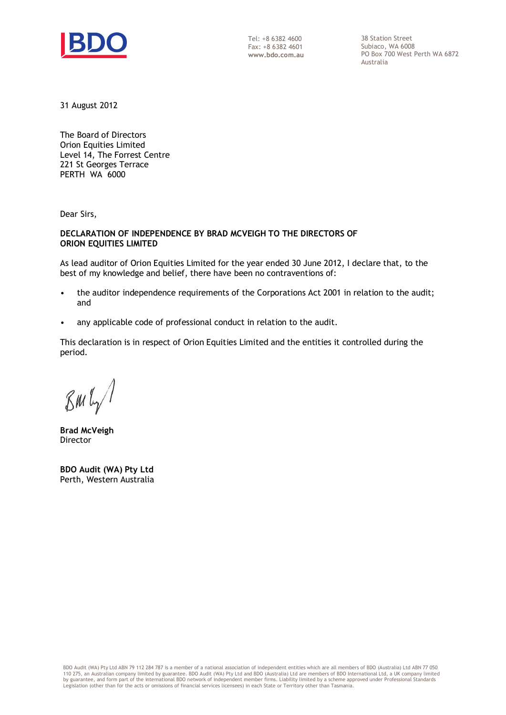

Tel: +8 6382 4600 Fax: +8 6382 4601 **www.bdo.com.au**  38 Station Street Subiaco, WA 6008 PO Box 700 West Perth WA 6872 Australia

31 August 2012

The Board of Directors Orion Equities Limited Level 14, The Forrest Centre 221 St Georges Terrace PERTH WA 6000

Dear Sirs,

### **DECLARATION OF INDEPENDENCE BY BRAD MCVEIGH TO THE DIRECTORS OF ORION EQUITIES LIMITED**

As lead auditor of Orion Equities Limited for the year ended 30 June 2012, I declare that, to the best of my knowledge and belief, there have been no contraventions of:

- the auditor independence requirements of the Corporations Act 2001 in relation to the audit; and
- any applicable code of professional conduct in relation to the audit.

This declaration is in respect of Orion Equities Limited and the entities it controlled during the period.

 $\mathcal{B}$ m $\mathfrak{l}_{\gamma}$ 

**Brad McVeigh**  Director

**BDO Audit (WA) Pty Ltd**  Perth, Western Australia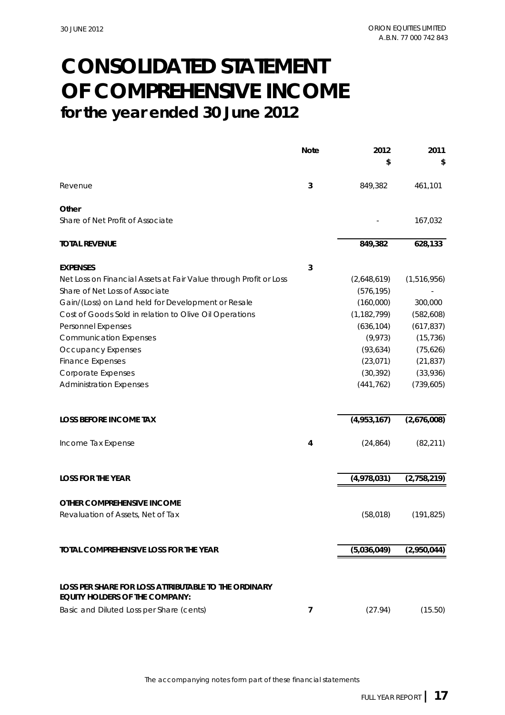## **CONSOLIDATED STATEMENT for the year ended 30 June 2012 OF COMPREHENSIVE INCOME**

|                                                                                               | <b>Note</b>    | 2012          | 2011        |
|-----------------------------------------------------------------------------------------------|----------------|---------------|-------------|
|                                                                                               |                | \$            | \$          |
| Revenue                                                                                       | 3              | 849,382       | 461,101     |
| Other                                                                                         |                |               |             |
| Share of Net Profit of Associate                                                              |                |               | 167,032     |
| <b>TOTAL REVENUE</b>                                                                          |                | 849,382       | 628,133     |
| <b>EXPENSES</b>                                                                               | 3              |               |             |
| Net Loss on Financial Assets at Fair Value through Profit or Loss                             |                | (2,648,619)   | (1,516,956) |
| Share of Net Loss of Associate                                                                |                | (576, 195)    |             |
| Gain/(Loss) on Land held for Development or Resale                                            |                | (160,000)     | 300,000     |
| Cost of Goods Sold in relation to Olive Oil Operations                                        |                | (1, 182, 799) | (582, 608)  |
| Personnel Expenses                                                                            |                | (636, 104)    | (617, 837)  |
| <b>Communication Expenses</b>                                                                 |                | (9, 973)      | (15, 736)   |
| <b>Occupancy Expenses</b>                                                                     |                | (93, 634)     | (75, 626)   |
| <b>Finance Expenses</b>                                                                       |                | (23, 071)     | (21, 837)   |
| Corporate Expenses                                                                            |                | (30, 392)     | (33,936)    |
| <b>Administration Expenses</b>                                                                |                | (441, 762)    | (739, 605)  |
| <b>LOSS BEFORE INCOME TAX</b>                                                                 |                | (4,953,167)   | (2,676,008) |
| Income Tax Expense                                                                            | 4              | (24, 864)     | (82, 211)   |
| <b>LOSS FOR THE YEAR</b>                                                                      |                | (4,978,031)   | (2,758,219) |
|                                                                                               |                |               |             |
| OTHER COMPREHENSIVE INCOME                                                                    |                |               |             |
| Revaluation of Assets, Net of Tax                                                             |                | (58, 018)     | (191, 825)  |
| TOTAL COMPREHENSIVE LOSS FOR THE YEAR                                                         |                | (5,036,049)   | (2,950,044) |
|                                                                                               |                |               |             |
| LOSS PER SHARE FOR LOSS ATTRIBUTABLE TO THE ORDINARY<br><b>EQUITY HOLDERS OF THE COMPANY:</b> |                |               |             |
| Basic and Diluted Loss per Share (cents)                                                      | $\overline{7}$ | (27.94)       | (15.50)     |
|                                                                                               |                |               |             |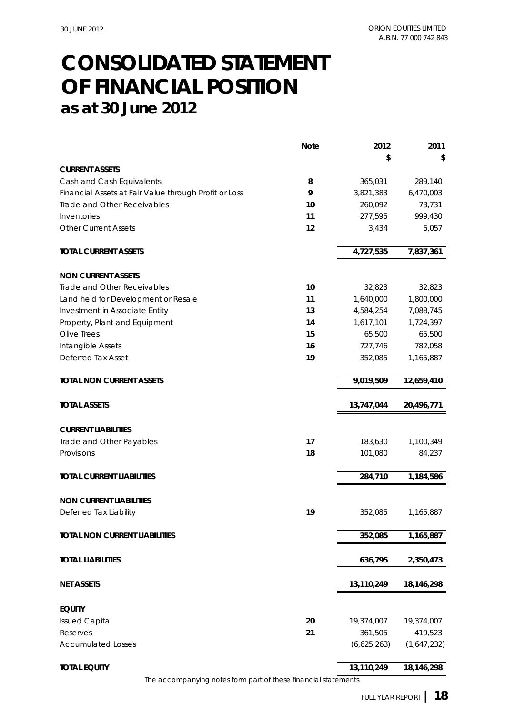## **CONSOLIDATED STATEMENT as at 30 June 2012 OF FINANCIAL POSITION**

|                                                       | <b>Note</b> | 2012        | 2011        |
|-------------------------------------------------------|-------------|-------------|-------------|
|                                                       |             | \$          | \$          |
| <b>CURRENT ASSETS</b>                                 |             |             |             |
| Cash and Cash Equivalents                             | 8           | 365,031     | 289,140     |
| Financial Assets at Fair Value through Profit or Loss | 9           | 3,821,383   | 6,470,003   |
| Trade and Other Receivables                           | 10          | 260,092     | 73,731      |
| Inventories                                           | 11          | 277,595     | 999,430     |
| <b>Other Current Assets</b>                           | 12          | 3,434       | 5,057       |
| <b>TOTAL CURRENT ASSETS</b>                           |             | 4,727,535   | 7,837,361   |
| <b>NON CURRENT ASSETS</b>                             |             |             |             |
| Trade and Other Receivables                           | 10          | 32,823      | 32,823      |
| Land held for Development or Resale                   | 11          | 1,640,000   | 1,800,000   |
| Investment in Associate Entity                        | 13          | 4,584,254   | 7,088,745   |
| Property, Plant and Equipment                         | 14          | 1,617,101   | 1,724,397   |
| Olive Trees                                           | 15          | 65,500      | 65,500      |
| Intangible Assets                                     | 16          | 727,746     | 782,058     |
| Deferred Tax Asset                                    | 19          | 352,085     | 1,165,887   |
| <b>TOTAL NON CURRENT ASSETS</b>                       |             | 9,019,509   | 12,659,410  |
| <b>TOTAL ASSETS</b>                                   |             | 13,747,044  | 20,496,771  |
|                                                       |             |             |             |
| <b>CURRENT LIABILITIES</b>                            |             |             |             |
| Trade and Other Payables                              | 17          | 183,630     | 1,100,349   |
| Provisions                                            | 18          | 101,080     | 84,237      |
|                                                       |             |             |             |
| <b>TOTAL CURRENT LIABILITIES</b>                      |             | 284,710     | 1,184,586   |
| <b>NON CURRENT LIABILITIES</b>                        |             |             |             |
| Deferred Tax Liability                                | 19          | 352,085     | 1,165,887   |
| <b>TOTAL NON CURRENT LIABILITIES</b>                  |             | 352,085     | 1,165,887   |
| <b>TOTAL LIABILITIES</b>                              |             | 636,795     | 2,350,473   |
|                                                       |             |             |             |
| <b>NET ASSETS</b>                                     |             | 13,110,249  | 18,146,298  |
| <b>EQUITY</b>                                         |             |             |             |
| <b>Issued Capital</b>                                 | 20          | 19,374,007  | 19,374,007  |
| Reserves                                              | 21          | 361,505     | 419,523     |
| <b>Accumulated Losses</b>                             |             | (6,625,263) | (1,647,232) |
| <b>TOTAL EQUITY</b>                                   |             | 13,110,249  | 18,146,298  |
|                                                       |             |             |             |

The accompanying notes form part of these financial statements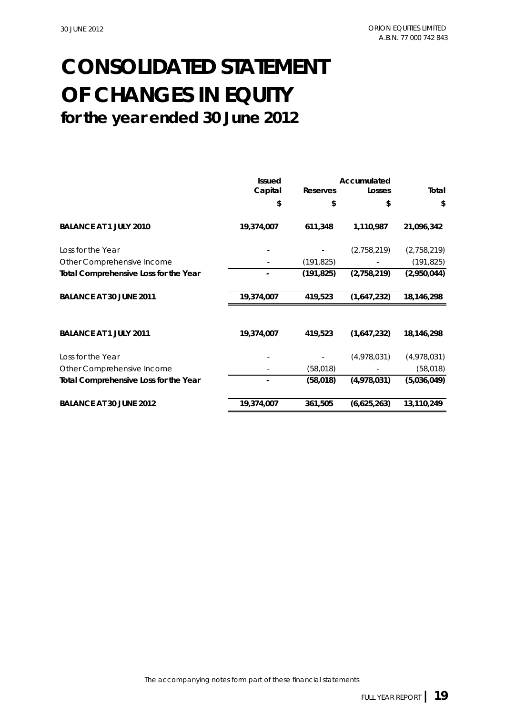## **CONSOLIDATED STATEMENT for the year ended 30 June 2012 OF CHANGES IN EQUITY**

|                                       | <b>Issued</b> |                 | Accumulated |             |
|---------------------------------------|---------------|-----------------|-------------|-------------|
|                                       | Capital       | <b>Reserves</b> | Losses      | Total       |
|                                       | \$            | \$              | \$          | \$          |
| <b>BALANCE AT 1 JULY 2010</b>         | 19,374,007    | 611,348         | 1,110,987   | 21,096,342  |
| Loss for the Year                     |               |                 | (2,758,219) | (2,758,219) |
| Other Comprehensive Income            |               | (191, 825)      |             | (191, 825)  |
| Total Comprehensive Loss for the Year |               | (191, 825)      | (2,758,219) | (2,950,044) |
| <b>BALANCE AT 30 JUNE 2011</b>        | 19,374,007    | 419,523         | (1,647,232) | 18,146,298  |
| <b>BALANCE AT 1 JULY 2011</b>         | 19,374,007    | 419,523         | (1,647,232) | 18,146,298  |
| Loss for the Year                     |               |                 | (4,978,031) | (4,978,031) |
| Other Comprehensive Income            |               | (58, 018)       |             | (58, 018)   |
| Total Comprehensive Loss for the Year |               | (58, 018)       | (4,978,031) | (5,036,049) |
| <b>BALANCE AT 30 JUNE 2012</b>        | 19,374,007    | 361,505         | (6,625,263) | 13,110,249  |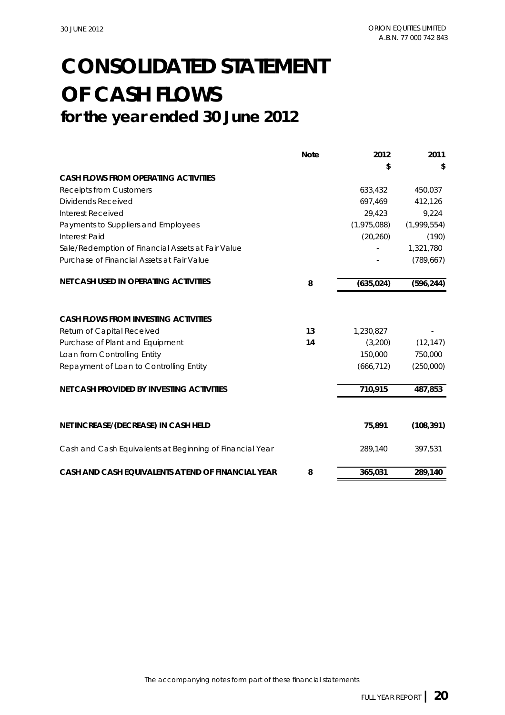## **OF CASH FLOWS CONSOLIDATED STATEMENT for the year ended 30 June 2012**

|                                                          | <b>Note</b> | 2012        | 2011        |
|----------------------------------------------------------|-------------|-------------|-------------|
|                                                          |             | \$          | \$          |
| <b>CASH FLOWS FROM OPERATING ACTIVITIES</b>              |             |             |             |
| <b>Receipts from Customers</b>                           |             | 633,432     | 450,037     |
| Dividends Received                                       |             | 697,469     | 412,126     |
| <b>Interest Received</b>                                 |             | 29,423      | 9,224       |
| Payments to Suppliers and Employees                      |             | (1,975,088) | (1,999,554) |
| <b>Interest Paid</b>                                     |             | (20, 260)   | (190)       |
| Sale/Redemption of Financial Assets at Fair Value        |             |             | 1,321,780   |
| Purchase of Financial Assets at Fair Value               |             |             | (789, 667)  |
| <b>NET CASH USED IN OPERATING ACTIVITIES</b>             | 8           | (635, 024)  | (596, 244)  |
| <b>CASH FLOWS FROM INVESTING ACTIVITIES</b>              |             |             |             |
| Return of Capital Received                               | 13          | 1,230,827   |             |
| Purchase of Plant and Equipment                          | 14          | (3,200)     | (12, 147)   |
| Loan from Controlling Entity                             |             | 150,000     | 750,000     |
| Repayment of Loan to Controlling Entity                  |             | (666, 712)  | (250,000)   |
| <b>NET CASH PROVIDED BY INVESTING ACTIVITIES</b>         |             | 710,915     | 487,853     |
| NET INCREASE/(DECREASE) IN CASH HELD                     |             | 75,891      | (108, 391)  |
| Cash and Cash Equivalents at Beginning of Financial Year |             | 289,140     | 397,531     |
| CASH AND CASH EQUIVALENTS AT END OF FINANCIAL YEAR       | 8           | 365,031     | 289,140     |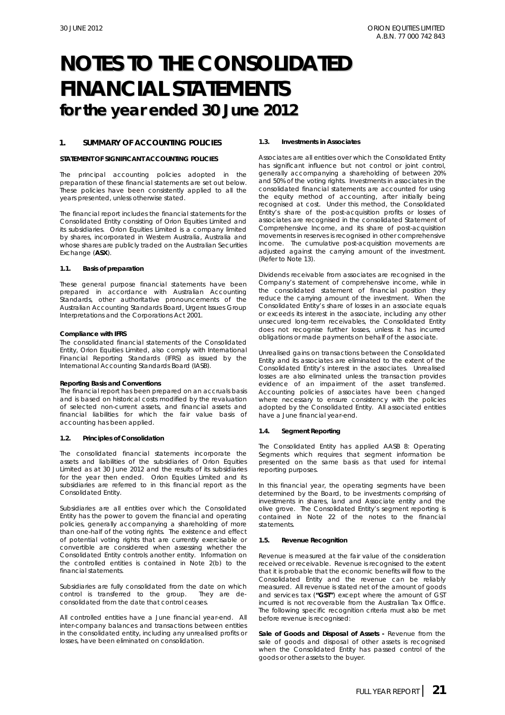### **1. SUMMARY OF ACCOUNTING POLICIES**

#### **STATEMENT OF SIGNIFICANT ACCOUNTING POLICIES**

The principal accounting policies adopted in the preparation of these financial statements are set out below. These policies have been consistently applied to all the years presented, unless otherwise stated.

The financial report includes the financial statements for the Consolidated Entity consisting of Orion Equities Limited and its subsidiaries. Orion Equities Limited is a company limited by shares, incorporated in Western Australia, Australia and whose shares are publicly traded on the Australian Securities Exchange (**ASX**).

#### **1.1. Basis of preparation**

These general purpose financial statements have been prepared in accordance with Australian Accounting Standards, other authoritative pronouncements of the Australian Accounting Standards Board, Urgent Issues Group Interpretations and the *Corporations Act 2001.* 

#### *Compliance with IFRS*

The consolidated financial statements of the Consolidated Entity, Orion Equities Limited, also comply with International Financial Reporting Standards (IFRS) as issued by the International Accounting Standards Board (IASB).

#### *Reporting Basis and Conventions*

The financial report has been prepared on an accruals basis and is based on historical costs modified by the revaluation of selected non-current assets, and financial assets and financial liabilities for which the fair value basis of accounting has been applied.

#### **1.2. Principles of Consolidation**

The consolidated financial statements incorporate the assets and liabilities of the subsidiaries of Orion Equities Limited as at 30 June 2012 and the results of its subsidiaries for the year then ended. Orion Equities Limited and its subsidiaries are referred to in this financial report as the Consolidated Entity.

Subsidiaries are all entities over which the Consolidated Entity has the power to govern the financial and operating policies, generally accompanying a shareholding of more than one-half of the voting rights. The existence and effect of potential voting rights that are currently exercisable or convertible are considered when assessing whether the Consolidated Entity controls another entity. Information on the controlled entities is contained in Note 2(b) to the financial statements.

Subsidiaries are fully consolidated from the date on which control is transferred to the group. They are deconsolidated from the date that control ceases.

All controlled entities have a June financial year-end. All inter-company balances and transactions between entities in the consolidated entity, including any unrealised profits or losses, have been eliminated on consolidation.

#### **1.3. Investments in Associates**

Associates are all entities over which the Consolidated Entity has significant influence but not control or joint control, generally accompanying a shareholding of between 20% and 50% of the voting rights. Investments in associates in the consolidated financial statements are accounted for using the equity method of accounting, after initially being recognised at cost. Under this method, the Consolidated Entity's share of the post-acquisition profits or losses of associates are recognised in the consolidated Statement of Comprehensive Income, and its share of post-acquisition movements in reserves is recognised in other comprehensive income. The cumulative post-acquisition movements are adjusted against the carrying amount of the investment. (Refer to Note 13).

Dividends receivable from associates are recognised in the Company's statement of comprehensive income, while in the consolidated statement of financial position they reduce the carrying amount of the investment. When the Consolidated Entity's share of losses in an associate equals or exceeds its interest in the associate, including any other unsecured long-term receivables, the Consolidated Entity does not recognise further losses, unless it has incurred obligations or made payments on behalf of the associate.

Unrealised gains on transactions between the Consolidated Entity and its associates are eliminated to the extent of the Consolidated Entity's interest in the associates. Unrealised losses are also eliminated unless the transaction provides evidence of an impairment of the asset transferred. Accounting policies of associates have been changed where necessary to ensure consistency with the policies adopted by the Consolidated Entity. All associated entities have a June financial year-end.

#### **1.4. Segment Reporting**

The Consolidated Entity has applied AASB 8: Operating Segments which requires that segment information be presented on the same basis as that used for internal reporting purposes.

In this financial year, the operating segments have been determined by the Board, to be investments comprising of investments in shares, land and Associate entity and the olive grove. The Consolidated Entity's segment reporting is contained in Note 22 of the notes to the financial statements.

#### **1.5. Revenue Recognition**

Revenue is measured at the fair value of the consideration received or receivable. Revenue is recognised to the extent that it is probable that the economic benefits will flow to the Consolidated Entity and the revenue can be reliably measured. All revenue is stated net of the amount of goods and services tax (**"GST"**) except where the amount of GST incurred is not recoverable from the Australian Tax Office. The following specific recognition criteria must also be met before revenue is recognised:

*Sale of Goods and Disposal of Assets* **-** Revenue from the sale of goods and disposal of other assets is recognised when the Consolidated Entity has passed control of the goods or other assets to the buyer.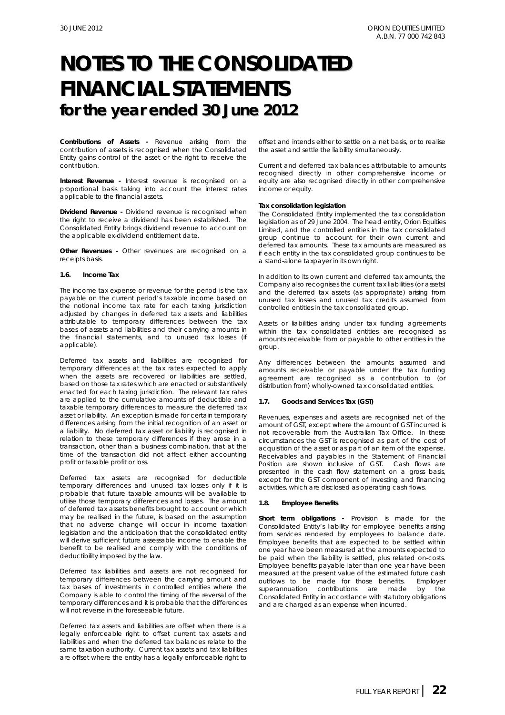*Contributions of Assets* **-** Revenue arising from the contribution of assets is recognised when the Consolidated Entity gains control of the asset or the right to receive the contribution.

*Interest Revenue* - Interest revenue is recognised on a proportional basis taking into account the interest rates applicable to the financial assets.

*Dividend Revenue* **-** Dividend revenue is recognised when the right to receive a dividend has been established. The Consolidated Entity brings dividend revenue to account on the applicable ex-dividend entitlement date.

*Other Revenues* - Other revenues are recognised on a receipts basis.

#### **1.6. Income Tax**

The income tax expense or revenue for the period is the tax payable on the current period's taxable income based on the notional income tax rate for each taxing jurisdiction adjusted by changes in deferred tax assets and liabilities attributable to temporary differences between the tax bases of assets and liabilities and their carrying amounts in the financial statements, and to unused tax losses (if applicable).

Deferred tax assets and liabilities are recognised for temporary differences at the tax rates expected to apply when the assets are recovered or liabilities are settled, based on those tax rates which are enacted or substantively enacted for each taxing jurisdiction. The relevant tax rates are applied to the cumulative amounts of deductible and taxable temporary differences to measure the deferred tax asset or liability. An exception is made for certain temporary differences arising from the initial recognition of an asset or a liability. No deferred tax asset or liability is recognised in relation to these temporary differences if they arose in a transaction, other than a business combination, that at the time of the transaction did not affect either accounting profit or taxable profit or loss.

Deferred tax assets are recognised for deductible temporary differences and unused tax losses only if it is probable that future taxable amounts will be available to utilise those temporary differences and losses. The amount of deferred tax assets benefits brought to account or which may be realised in the future, is based on the assumption that no adverse change will occur in income taxation legislation and the anticipation that the consolidated entity will derive sufficient future assessable income to enable the benefit to be realised and comply with the conditions of deductibility imposed by the law.

Deferred tax liabilities and assets are not recognised for temporary differences between the carrying amount and tax bases of investments in controlled entities where the Company is able to control the timing of the reversal of the temporary differences and it is probable that the differences will not reverse in the foreseeable future.

Deferred tax assets and liabilities are offset when there is a legally enforceable right to offset current tax assets and liabilities and when the deferred tax balances relate to the same taxation authority. Current tax assets and tax liabilities are offset where the entity has a legally enforceable right to

offset and intends either to settle on a net basis, or to realise the asset and settle the liability simultaneously.

Current and deferred tax balances attributable to amounts recognised directly in other comprehensive income or equity are also recognised directly in other comprehensive income or equity.

#### **Tax consolidation legislation**

The Consolidated Entity implemented the tax consolidation legislation as of 29 June 2004. The head entity, Orion Equities Limited, and the controlled entities in the tax consolidated group continue to account for their own current and deferred tax amounts. These tax amounts are measured as if each entity in the tax consolidated group continues to be a stand-alone taxpayer in its own right.

In addition to its own current and deferred tax amounts, the Company also recognises the current tax liabilities (or assets) and the deferred tax assets (as appropriate) arising from unused tax losses and unused tax credits assumed from controlled entities in the tax consolidated group.

Assets or liabilities arising under tax funding agreements within the tax consolidated entities are recognised as amounts receivable from or payable to other entities in the group.

Any differences between the amounts assumed and amounts receivable or payable under the tax funding agreement are recognised as a contribution to (or distribution from) wholly-owned tax consolidated entities.

#### **1.7. Goods and Services Tax (GST)**

Revenues, expenses and assets are recognised net of the amount of GST, except where the amount of GST incurred is not recoverable from the Australian Tax Office. In these circumstances the GST is recognised as part of the cost of acquisition of the asset or as part of an item of the expense. Receivables and payables in the Statement of Financial Position are shown inclusive of GST. Cash flows are presented in the cash flow statement on a gross basis, except for the GST component of investing and financing activities, which are disclosed as operating cash flows.

#### **1.8. Employee Benefits**

*Short term obligations -* Provision is made for the Consolidated Entity's liability for employee benefits arising from services rendered by employees to balance date. Employee benefits that are expected to be settled within one year have been measured at the amounts expected to be paid when the liability is settled, plus related on-costs. Employee benefits payable later than one year have been measured at the present value of the estimated future cash outflows to be made for those benefits. Employer superannuation contributions are made by the Consolidated Entity in accordance with statutory obligations and are charged as an expense when incurred.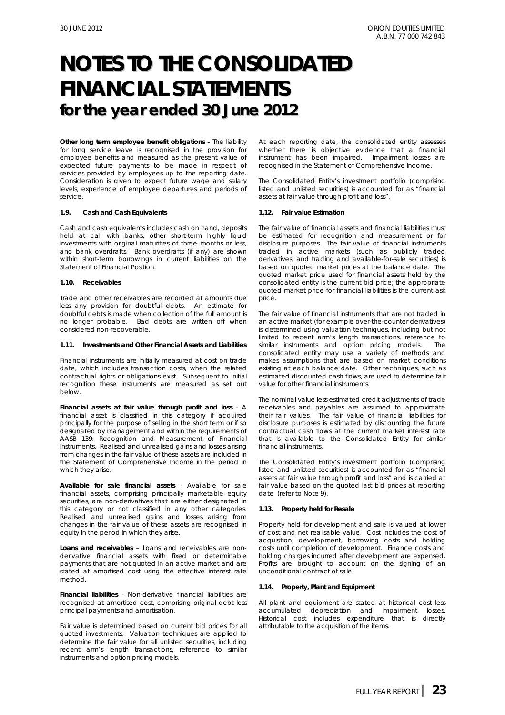**Other long term employee benefit obligations -** The liability for long service leave is recognised in the provision for employee benefits and measured as the present value of expected future payments to be made in respect of services provided by employees up to the reporting date. Consideration is given to expect future wage and salary levels, experience of employee departures and periods of service.

#### **1.9. Cash and Cash Equivalents**

Cash and cash equivalents includes cash on hand, deposits held at call with banks, other short-term highly liquid investments with original maturities of three months or less, and bank overdrafts. Bank overdrafts (if any) are shown within short-term borrowings in current liabilities on the Statement of Financial Position.

#### **1.10. Receivables**

Trade and other receivables are recorded at amounts due less any provision for doubtful debts. An estimate for doubtful debts is made when collection of the full amount is no longer probable. Bad debts are written off when considered non-recoverable.

#### **1.11. Investments and Other Financial Assets and Liabilities**

Financial instruments are initially measured at cost on trade date, which includes transaction costs, when the related contractual rights or obligations exist. Subsequent to initial recognition these instruments are measured as set out below.

*Financial assets at fair value through profit and loss* - A financial asset is classified in this category if acquired principally for the purpose of selling in the short term or if so designated by management and within the requirements of AASB 139: Recognition and Measurement of Financial Instruments. Realised and unrealised gains and losses arising from changes in the fair value of these assets are included in the Statement of Comprehensive Income in the period in which they arise.

*Available for sale financial assets* - Available for sale financial assets, comprising principally marketable equity securities, are non-derivatives that are either designated in this category or not classified in any other categories. Realised and unrealised gains and losses arising from changes in the fair value of these assets are recognised in equity in the period in which they arise.

*Loans and receivables* – Loans and receivables are nonderivative financial assets with fixed or determinable payments that are not quoted in an active market and are stated at amortised cost using the effective interest rate method.

*Financial liabilities* - Non-derivative financial liabilities are recognised at amortised cost, comprising original debt less principal payments and amortisation.

Fair value is determined based on current bid prices for all quoted investments. Valuation techniques are applied to determine the fair value for all unlisted securities, including recent arm's length transactions, reference to similar instruments and option pricing models.

At each reporting date, the consolidated entity assesses whether there is objective evidence that a financial instrument has been impaired. Impairment losses are recognised in the Statement of Comprehensive Income.

The Consolidated Entity's investment portfolio (comprising listed and unlisted securities) is accounted for as "financial assets at fair value through profit and loss".

#### **1.12. Fair value Estimation**

The fair value of financial assets and financial liabilities must be estimated for recognition and measurement or for disclosure purposes. The fair value of financial instruments traded in active markets (such as publicly traded derivatives, and trading and available-for-sale securities) is based on quoted market prices at the balance date. The quoted market price used for financial assets held by the consolidated entity is the current bid price; the appropriate quoted market price for financial liabilities is the current ask price.

The fair value of financial instruments that are not traded in an active market (for example over-the-counter derivatives) is determined using valuation techniques, including but not limited to recent arm's length transactions, reference to similar instruments and option pricing models. The consolidated entity may use a variety of methods and makes assumptions that are based on market conditions existing at each balance date. Other techniques, such as estimated discounted cash flows, are used to determine fair value for other financial instruments.

The nominal value less estimated credit adjustments of trade receivables and payables are assumed to approximate their fair values. The fair value of financial liabilities for disclosure purposes is estimated by discounting the future contractual cash flows at the current market interest rate that is available to the Consolidated Entity for similar financial instruments.

The Consolidated Entity's investment portfolio (comprising listed and unlisted securities) is accounted for as "financial assets at fair value through profit and loss" and is carried at fair value based on the quoted last bid prices at reporting date (refer to Note 9).

#### **1.13. Property held for Resale**

Property held for development and sale is valued at lower of cost and net realisable value. Cost includes the cost of acquisition, development, borrowing costs and holding costs until completion of development. Finance costs and holding charges incurred after development are expensed. Profits are brought to account on the signing of an unconditional contract of sale.

#### **1.14. Property, Plant and Equipment**

All plant and equipment are stated at historical cost less accumulated depreciation and impairment losses. Historical cost includes expenditure that is directly attributable to the acquisition of the items.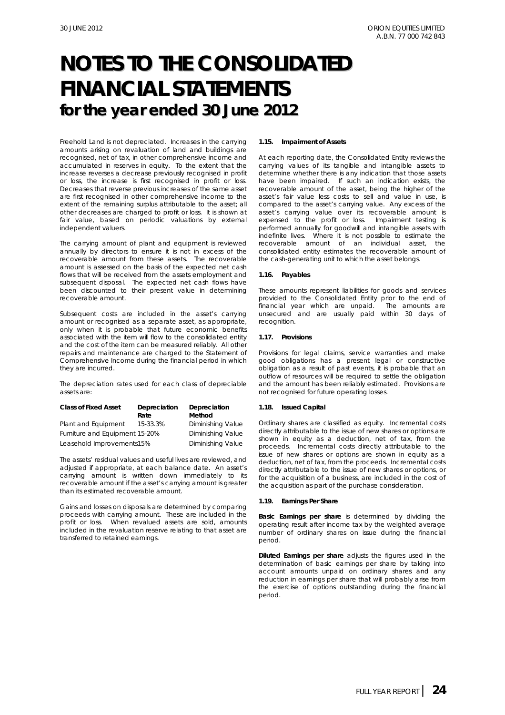Freehold Land is not depreciated. Increases in the carrying amounts arising on revaluation of land and buildings are recognised, net of tax, in other comprehensive income and accumulated in reserves in equity. To the extent that the increase reverses a decrease previously recognised in profit or loss, the increase is first recognised in profit or loss. Decreases that reverse previous increases of the same asset are first recognised in other comprehensive income to the extent of the remaining surplus attributable to the asset; all other decreases are charged to profit or loss. It is shown at fair value, based on periodic valuations by external independent valuers.

The carrying amount of plant and equipment is reviewed annually by directors to ensure it is not in excess of the recoverable amount from these assets. The recoverable amount is assessed on the basis of the expected net cash flows that will be received from the assets employment and subsequent disposal. The expected net cash flows have been discounted to their present value in determining recoverable amount.

Subsequent costs are included in the asset's carrying amount or recognised as a separate asset, as appropriate, only when it is probable that future economic benefits associated with the item will flow to the consolidated entity and the cost of the item can be measured reliably. All other repairs and maintenance are charged to the Statement of Comprehensive Income during the financial period in which they are incurred.

The depreciation rates used for each class of depreciable assets are:

| <b>Class of Fixed Asset</b>    | Depreciation<br>Rate | Depreciation<br>Method |
|--------------------------------|----------------------|------------------------|
| Plant and Equipment            | 15-33.3%             | Diminishing Value      |
| Furniture and Equipment 15-20% |                      | Diminishing Value      |
| Leasehold Improvements15%      |                      | Diminishing Value      |

The assets' residual values and useful lives are reviewed, and adjusted if appropriate, at each balance date. An asset's carrying amount is written down immediately to its recoverable amount if the asset's carrying amount is greater than its estimated recoverable amount.

Gains and losses on disposals are determined by comparing proceeds with carrying amount. These are included in the profit or loss. When revalued assets are sold, amounts included in the revaluation reserve relating to that asset are transferred to retained earnings.

#### **1.15. Impairment of Assets**

At each reporting date, the Consolidated Entity reviews the carrying values of its tangible and intangible assets to determine whether there is any indication that those assets have been impaired. If such an indication exists, the recoverable amount of the asset, being the higher of the asset's fair value less costs to sell and value in use, is compared to the asset's carrying value. Any excess of the asset's carrying value over its recoverable amount is expensed to the profit or loss. Impairment testing is performed annually for goodwill and intangible assets with indefinite lives. Where it is not possible to estimate the recoverable amount of an individual asset, the consolidated entity estimates the recoverable amount of the cash-generating unit to which the asset belongs.

#### **1.16. Payables**

These amounts represent liabilities for goods and services provided to the Consolidated Entity prior to the end of financial year which are unpaid. The amounts are unsecured and are usually paid within 30 days of recognition.

#### **1.17. Provisions**

Provisions for legal claims, service warranties and make good obligations has a present legal or constructive obligation as a result of past events, it is probable that an outflow of resources will be required to settle the obligation and the amount has been reliably estimated. Provisions are not recognised for future operating losses.

#### **1.18. Issued Capital**

Ordinary shares are classified as equity. Incremental costs directly attributable to the issue of new shares or options are shown in equity as a deduction, net of tax, from the proceeds. Incremental costs directly attributable to the issue of new shares or options are shown in equity as a deduction, net of tax, from the proceeds. Incremental costs directly attributable to the issue of new shares or options, or for the acquisition of a business, are included in the cost of the acquisition as part of the purchase consideration.

#### **1.19. Earnings Per Share**

*Basic Earnings per share* is determined by dividing the operating result after income tax by the weighted average number of ordinary shares on issue during the financial period.

*Diluted Earnings per share* adjusts the figures used in the determination of basic earnings per share by taking into account amounts unpaid on ordinary shares and any reduction in earnings per share that will probably arise from the exercise of options outstanding during the financial period.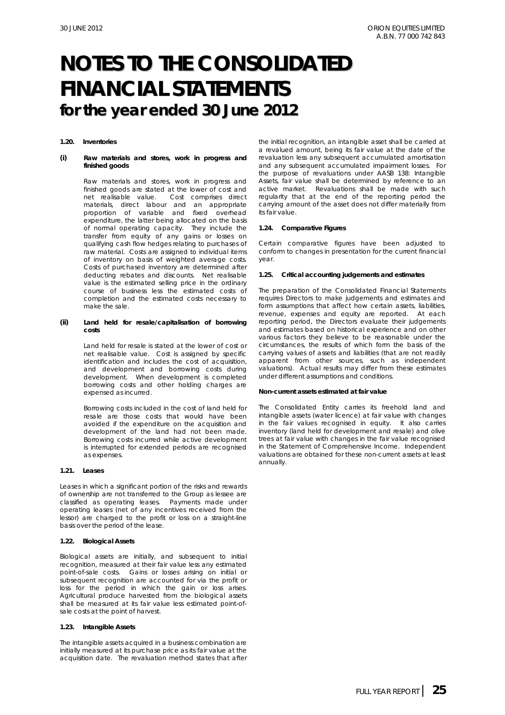#### **1.20. Inventories**

#### *(i)* **Raw materials and stores, work in progress and finished goods**

Raw materials and stores, work in progress and finished goods are stated at the lower of cost and net realisable value. Cost comprises direct materials, direct labour and an appropriate proportion of variable and fixed overhead expenditure, the latter being allocated on the basis of normal operating capacity. They include the transfer from equity of any gains or losses on qualifying cash flow hedges relating to purchases of raw material. Costs are assigned to individual items of inventory on basis of weighted average costs. Costs of purchased inventory are determined after deducting rebates and discounts. Net realisable value is the estimated selling price in the ordinary course of business less the estimated costs of completion and the estimated costs necessary to make the sale.

#### *(ii)* **Land held for resale/capitalisation of borrowing costs**

Land held for resale is stated at the lower of cost or net realisable value. Cost is assigned by specific identification and includes the cost of acquisition, and development and borrowing costs during development. When development is completed borrowing costs and other holding charges are expensed as incurred.

Borrowing costs included in the cost of land held for resale are those costs that would have been avoided if the expenditure on the acquisition and development of the land had not been made. Borrowing costs incurred while active development is interrupted for extended periods are recognised as expenses.

#### **1.21. Leases**

Leases in which a significant portion of the risks and rewards of ownership are not transferred to the Group as lessee are classified as operating leases. Payments made under operating leases (net of any incentives received from the lessor) are charged to the profit or loss on a straight-line basis over the period of the lease.

#### **1.22. Biological Assets**

Biological assets are initially, and subsequent to initial recognition, measured at their fair value less any estimated point-of-sale costs. Gains or losses arising on initial or subsequent recognition are accounted for via the profit or loss for the period in which the gain or loss arises. Agricultural produce harvested from the biological assets shall be measured at its fair value less estimated point-ofsale costs at the point of harvest.

#### **1.23. Intangible Assets**

The intangible assets acquired in a business combination are initially measured at its purchase price as its fair value at the acquisition date. The revaluation method states that after

the initial recognition, an intangible asset shall be carried at a revalued amount, being its fair value at the date of the revaluation less any subsequent accumulated amortisation and any subsequent accumulated impairment losses. For the purpose of revaluations under AASB 138: *Intangible Assets*, fair value shall be determined by reference to an active market. Revaluations shall be made with such regularity that at the end of the reporting period the carrying amount of the asset does not differ materially from its fair value.

#### **1.24. Comparative Figures**

Certain comparative figures have been adjusted to conform to changes in presentation for the current financial year.

#### **1.25. Critical accounting judgements and estimates**

The preparation of the Consolidated Financial Statements requires Directors to make judgements and estimates and form assumptions that affect how certain assets, liabilities, revenue, expenses and equity are reported. At each reporting period, the Directors evaluate their judgements and estimates based on historical experience and on other various factors they believe to be reasonable under the circumstances, the results of which form the basis of the carrying values of assets and liabilities (that are not readily apparent from other sources, such as independent valuations). Actual results may differ from these estimates under different assumptions and conditions.

#### *Non-current assets estimated at fair value*

The Consolidated Entity carries its freehold land and intangible assets (water licence) at fair value with changes in the fair values recognised in equity. It also carries inventory (land held for development and resale) and olive trees at fair value with changes in the fair value recognised in the Statement of Comprehensive Income. Independent valuations are obtained for these non-current assets at least annually.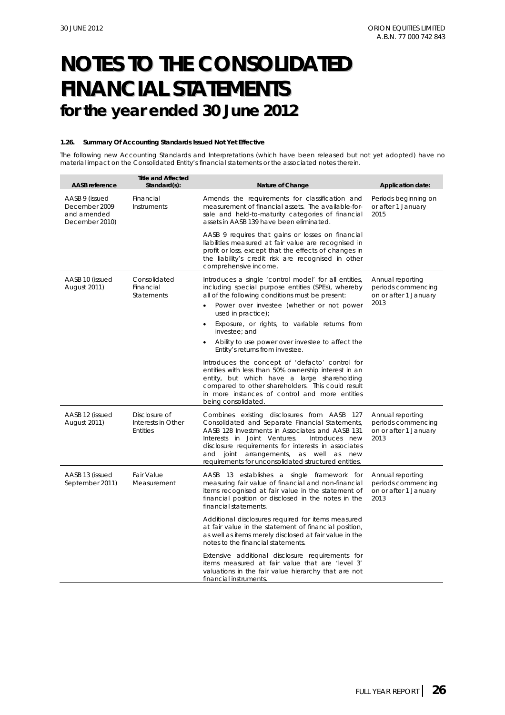#### **1.26. Summary Of Accounting Standards Issued Not Yet Effective**

The following new Accounting Standards and Interpretations (which have been released but not yet adopted) have no material impact on the Consolidated Entity's financial statements or the associated notes therein.

| <b>AASB</b> reference                                            | <b>Title and Affected</b><br>Standard(s):              | Nature of Change                                                                                                                                                                                                                                                                                                                                                                                         | <b>Application date:</b>                                                |
|------------------------------------------------------------------|--------------------------------------------------------|----------------------------------------------------------------------------------------------------------------------------------------------------------------------------------------------------------------------------------------------------------------------------------------------------------------------------------------------------------------------------------------------------------|-------------------------------------------------------------------------|
| AASB 9 (issued<br>December 2009<br>and amended<br>December 2010) | Financial<br>Instruments                               | Amends the requirements for classification and<br>measurement of financial assets. The available-for-<br>sale and held-to-maturity categories of financial<br>assets in AASB 139 have been eliminated.                                                                                                                                                                                                   | Periods beginning on<br>or after 1 January<br>2015                      |
|                                                                  |                                                        | AASB 9 requires that gains or losses on financial<br>liabilities measured at fair value are recognised in<br>profit or loss, except that the effects of changes in<br>the liability's credit risk are recognised in other<br>comprehensive income.                                                                                                                                                       |                                                                         |
| AASB 10 (issued<br><b>August 2011)</b>                           | Consolidated<br>Financial<br><b>Statements</b>         | Introduces a single 'control model' for all entities,<br>including special purpose entities (SPEs), whereby<br>all of the following conditions must be present:<br>Power over investee (whether or not power<br>$\bullet$<br>used in practice);<br>Exposure, or rights, to variable returns from<br>investee: and<br>Ability to use power over investee to affect the<br>Entity's returns from investee. | Annual reporting<br>periods commencing<br>on or after 1 January<br>2013 |
|                                                                  |                                                        | Introduces the concept of 'defacto' control for<br>entities with less than 50% ownership interest in an<br>entity, but which have a large shareholding<br>compared to other shareholders. This could result<br>in more instances of control and more entities<br>being consolidated.                                                                                                                     |                                                                         |
| AASB 12 (issued<br><b>August 2011)</b>                           | Disclosure of<br>Interests in Other<br><b>Entities</b> | Combines existing disclosures from AASB 127<br>Consolidated and Separate Financial Statements,<br>AASB 128 <i>Investments in Associates</i> and AASB 131<br>Interests in Joint Ventures.<br>Introduces new<br>disclosure requirements for interests in associates<br>and joint arrangements, as well as new<br>requirements for unconsolidated structured entities.                                      | Annual reporting<br>periods commencing<br>on or after 1 January<br>2013 |
| AASB 13 (issued<br>September 2011)                               | <b>Fair Value</b><br>Measurement                       | AASB 13 establishes a single framework for<br>measuring fair value of financial and non-financial<br>items recognised at fair value in the statement of<br>financial position or disclosed in the notes in the<br>financial statements.                                                                                                                                                                  | Annual reporting<br>periods commencing<br>on or after 1 January<br>2013 |
|                                                                  |                                                        | Additional disclosures required for items measured<br>at fair value in the statement of financial position,<br>as well as items merely disclosed at fair value in the<br>notes to the financial statements.                                                                                                                                                                                              |                                                                         |
|                                                                  |                                                        | Extensive additional disclosure requirements for<br>items measured at fair value that are 'level 3'<br>valuations in the fair value hierarchy that are not<br>financial instruments.                                                                                                                                                                                                                     |                                                                         |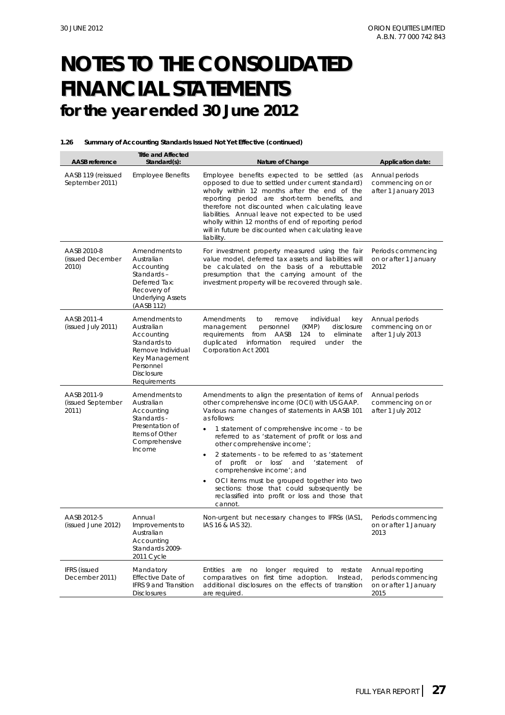#### **1.26 Summary of Accounting Standards Issued Not Yet Effective (continued)**

| <b>AASB</b> reference                     | <b>Title and Affected</b><br>Standard(s):                                                                                                          | Nature of Change                                                                                                                                                                                                                                                                                                                                                                                                                                                                                                                                                                                               | Application date:                                                       |
|-------------------------------------------|----------------------------------------------------------------------------------------------------------------------------------------------------|----------------------------------------------------------------------------------------------------------------------------------------------------------------------------------------------------------------------------------------------------------------------------------------------------------------------------------------------------------------------------------------------------------------------------------------------------------------------------------------------------------------------------------------------------------------------------------------------------------------|-------------------------------------------------------------------------|
| AASB 119 (reissued<br>September 2011)     | <b>Employee Benefits</b>                                                                                                                           | Employee benefits expected to be settled (as<br>opposed to due to settled under current standard)<br>wholly within 12 months after the end of the<br>reporting period are short-term benefits, and<br>therefore not discounted when calculating leave<br>liabilities. Annual leave not expected to be used<br>wholly within 12 months of end of reporting period<br>will in future be discounted when calculating leave<br>liability.                                                                                                                                                                          | Annual periods<br>commencing on or<br>after 1 January 2013              |
| AASB 2010-8<br>(issued December<br>2010)  | Amendments to<br>Australian<br>Accounting<br>Standards-<br>Deferred Tax:<br>Recovery of<br><b>Underlying Assets</b><br>(AASB 112)                  | For investment property measured using the fair<br>value model, deferred tax assets and liabilities will<br>be calculated on the basis of a rebuttable<br>presumption that the carrying amount of the<br>investment property will be recovered through sale.                                                                                                                                                                                                                                                                                                                                                   | Periods commencing<br>on or after 1 January<br>2012                     |
| AASB 2011-4<br>(issued July 2011)         | Amendments to<br>Australian<br>Accounting<br>Standards to<br>Remove Individual<br>Key Management<br>Personnel<br><b>Disclosure</b><br>Requirements | Amendments<br>individual<br>to<br>remove<br>key<br>management<br>(KMP)<br>disclosure<br>personnel<br>124<br>requirements<br>from<br>AASB<br>to<br>eliminate<br>duplicated<br>information<br>required<br>under<br>the<br>Corporation Act 2001                                                                                                                                                                                                                                                                                                                                                                   | Annual periods<br>commencing on or<br>after 1 July 2013                 |
| AASB 2011-9<br>(issued September<br>2011) | Amendments to<br>Australian<br>Accounting<br>Standards -<br>Presentation of<br>Items of Other<br>Comprehensive<br>Income                           | Amendments to align the presentation of items of<br>other comprehensive income (OCI) with US GAAP.<br>Various name changes of statements in AASB 101<br>as follows:<br>1 statement of comprehensive income - to be<br>referred to as 'statement of profit or loss and<br>other comprehensive income';<br>2 statements - to be referred to as 'statement<br>٠<br>profit or loss'<br>Оf<br>'statement<br>of<br>and<br>comprehensive income'; and<br>OCI items must be grouped together into two<br>٠<br>sections: those that could subsequently be<br>reclassified into profit or loss and those that<br>cannot. | Annual periods<br>commencing on or<br>after 1 July 2012                 |
| AASB 2012-5<br>(issued June 2012)         | Annual<br>Improvements to<br>Australian<br>Accounting<br>Standards 2009-<br>2011 Cycle                                                             | Non-urgent but necessary changes to IFRSs (IAS1,<br>IAS 16 & IAS 32).                                                                                                                                                                                                                                                                                                                                                                                                                                                                                                                                          | Periods commencing<br>on or after 1 January<br>2013                     |
| <b>IFRS</b> (issued<br>December 2011)     | Mandatory<br><b>Effective Date of</b><br>IFRS 9 and Transition<br><b>Disclosures</b>                                                               | <b>Entities</b><br>longer required to<br>are<br>no<br>restate<br>comparatives on first time adoption.<br>Instead,<br>additional disclosures on the effects of transition<br>are required.                                                                                                                                                                                                                                                                                                                                                                                                                      | Annual reporting<br>periods commencing<br>on or after 1 January<br>2015 |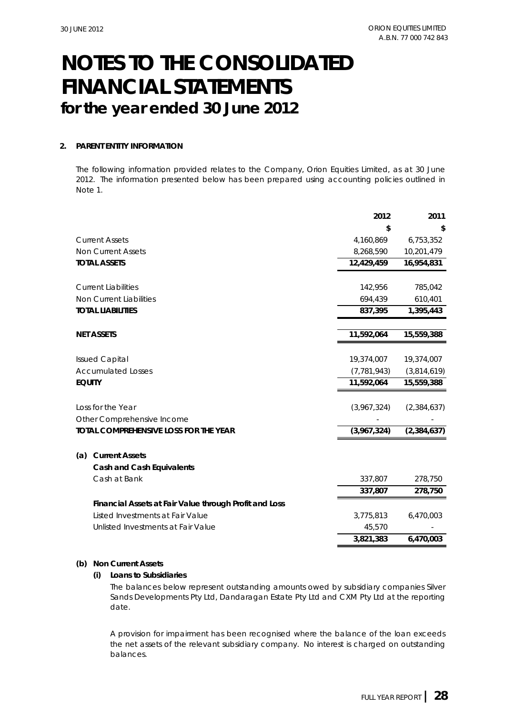#### **2. PARENT ENTITY INFORMATION**

The following information provided relates to the Company, Orion Equities Limited, as at 30 June 2012. The information presented below has been prepared using accounting policies outlined in Note 1.

|               |                                                        | 2012          | 2011          |
|---------------|--------------------------------------------------------|---------------|---------------|
|               |                                                        | \$            | S             |
|               | <b>Current Assets</b>                                  | 4,160,869     | 6,753,352     |
|               | <b>Non Current Assets</b>                              | 8,268,590     | 10,201,479    |
|               | <b>TOTAL ASSETS</b>                                    | 12,429,459    | 16,954,831    |
|               | <b>Current Liabilities</b>                             | 142,956       | 785,042       |
|               | Non Current Liabilities                                | 694,439       | 610,401       |
|               | <b>TOTAL LIABILITIES</b>                               | 837,395       | 1,395,443     |
|               | <b>NET ASSETS</b>                                      | 11,592,064    | 15,559,388    |
|               | <b>Issued Capital</b>                                  | 19,374,007    | 19,374,007    |
|               | <b>Accumulated Losses</b>                              | (7, 781, 943) | (3,814,619)   |
| <b>EQUITY</b> |                                                        | 11,592,064    | 15,559,388    |
|               | Loss for the Year                                      | (3,967,324)   | (2,384,637)   |
|               | Other Comprehensive Income                             |               |               |
|               | TOTAL COMPREHENSIVE LOSS FOR THE YEAR                  | (3,967,324)   | (2, 384, 637) |
| (a)           | <b>Current Assets</b>                                  |               |               |
|               | <b>Cash and Cash Equivalents</b>                       |               |               |
|               | Cash at Bank                                           | 337,807       | 278,750       |
|               |                                                        | 337,807       | 278,750       |
|               | Financial Assets at Fair Value through Profit and Loss |               |               |
|               | Listed Investments at Fair Value                       | 3,775,813     | 6,470,003     |
|               | Unlisted Investments at Fair Value                     | 45,570        |               |
|               |                                                        | 3,821,383     | 6,470,003     |
|               |                                                        |               |               |

#### **(b) Non Current Assets**

#### **(i) Loans to Subsidiaries**

The balances below represent outstanding amounts owed by subsidiary companies Silver Sands Developments Pty Ltd, Dandaragan Estate Pty Ltd and CXM Pty Ltd at the reporting date.

A provision for impairment has been recognised where the balance of the loan exceeds the net assets of the relevant subsidiary company. No interest is charged on outstanding balances.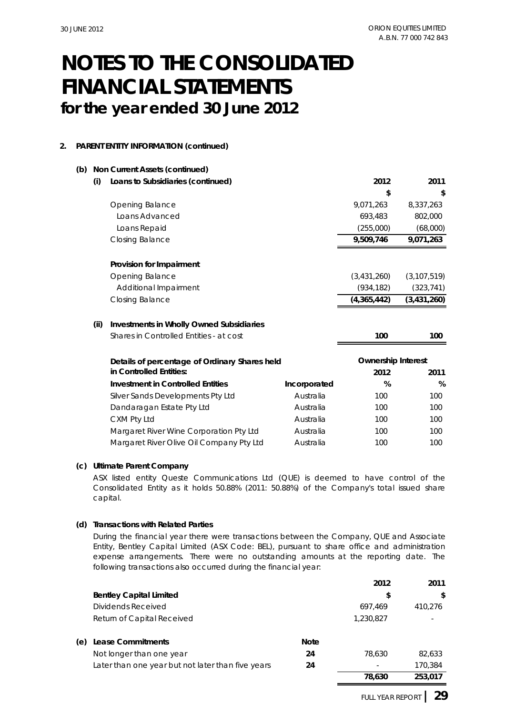**(b)**

## **for the year ended 30 June 2012 FINANCIAL STATEMENTS NOTES TO THE CONSOLIDATED**

### **2. PARENT ENTITY INFORMATION (continued)**

|      | Non Current Assets (continued)                  |              |                           |               |
|------|-------------------------------------------------|--------------|---------------------------|---------------|
| (i)  | Loans to Subsidiaries (continued)               |              | 2012                      | 2011          |
|      |                                                 |              | \$                        | \$            |
|      | Opening Balance                                 |              | 9,071,263                 | 8,337,263     |
|      | Loans Advanced                                  |              | 693,483                   | 802,000       |
|      | Loans Repaid                                    |              | (255,000)                 | (68,000)      |
|      | Closing Balance                                 |              | 9,509,746                 | 9,071,263     |
|      | Provision for Impairment                        |              |                           |               |
|      | Opening Balance                                 |              | (3,431,260)               | (3, 107, 519) |
|      | Additional Impairment                           |              | (934, 182)                | (323, 741)    |
|      | <b>Closing Balance</b>                          |              | (4,365,442)               | (3, 431, 260) |
| (ii) | <b>Investments in Wholly Owned Subsidiaries</b> |              |                           |               |
|      | Shares in Controlled Entities - at cost         |              | 100                       | 100           |
|      | Details of percentage of Ordinary Shares held   |              | <b>Ownership Interest</b> |               |
|      | in Controlled Entities:                         |              | 2012                      | 2011          |
|      | <b>Investment in Controlled Entities</b>        | Incorporated | %                         | %             |
|      | Silver Sands Developments Pty Ltd               | Australia    | 100                       | 100           |
|      | Dandaragan Estate Pty Ltd                       | Australia    | 100                       | 100           |
|      | CXM Pty Ltd                                     | Australia    | 100                       | 100           |
|      |                                                 |              |                           |               |
|      | Margaret River Wine Corporation Pty Ltd         | Australia    | 100                       | 100           |

### **(c) Ultimate Parent Company**

ASX listed entity Queste Communications Ltd (QUE) is deemed to have control of the Consolidated Entity as it holds 50.88% (2011: 50.88%) of the Company's total issued share capital.

### **(d) Transactions with Related Parties**

During the financial year there were transactions between the Company, QUE and Associate Entity, Bentley Capital Limited (ASX Code: BEL), pursuant to share office and administration expense arrangements. There were no outstanding amounts at the reporting date. The following transactions also occurred during the financial year:

|                                                   |             | 2012      | 2011    |
|---------------------------------------------------|-------------|-----------|---------|
| <b>Bentley Capital Limited</b>                    |             | \$        | \$      |
| Dividends Received                                |             | 697.469   | 410.276 |
| Return of Capital Received                        |             | 1,230,827 |         |
| Lease Commitments<br>(e)                          | <b>Note</b> |           |         |
| Not longer than one year                          | 24          | 78.630    | 82.633  |
| Later than one year but not later than five years | 24          |           | 170.384 |
|                                                   |             | 78,630    | 253.017 |

FULL YEAR REPORT **| 29**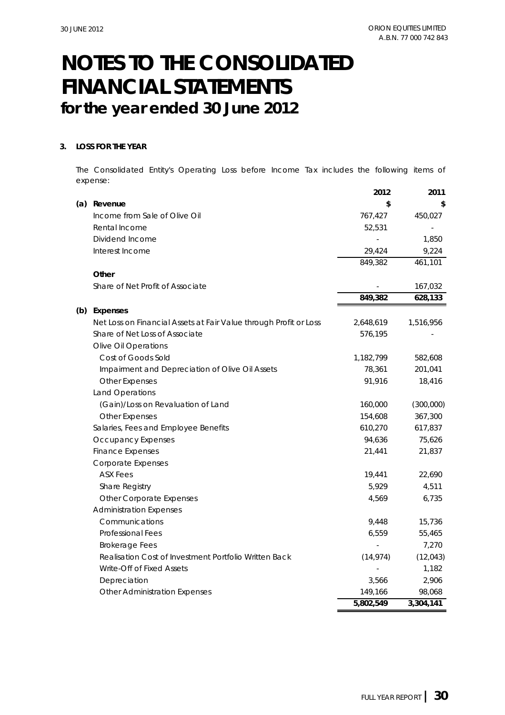### **3. LOSS FOR THE YEAR**

The Consolidated Entity's Operating Loss before Income Tax includes the following items of expense:

|     |                                                                   | 2012      | 2011      |
|-----|-------------------------------------------------------------------|-----------|-----------|
| (a) | Revenue                                                           | \$        |           |
|     | Income from Sale of Olive Oil                                     | 767,427   | 450,027   |
|     | Rental Income                                                     | 52,531    |           |
|     | Dividend Income                                                   |           | 1,850     |
|     | Interest Income                                                   | 29,424    | 9,224     |
|     |                                                                   | 849,382   | 461,101   |
|     | Other                                                             |           |           |
|     | Share of Net Profit of Associate                                  |           | 167,032   |
|     |                                                                   | 849,382   | 628,133   |
| (b) | <b>Expenses</b>                                                   |           |           |
|     | Net Loss on Financial Assets at Fair Value through Profit or Loss | 2,648,619 | 1,516,956 |
|     | Share of Net Loss of Associate                                    | 576,195   |           |
|     | Olive Oil Operations                                              |           |           |
|     | Cost of Goods Sold                                                | 1,182,799 | 582,608   |
|     | Impairment and Depreciation of Olive Oil Assets                   | 78,361    | 201,041   |
|     | <b>Other Expenses</b>                                             | 91,916    | 18,416    |
|     | Land Operations                                                   |           |           |
|     | (Gain)/Loss on Revaluation of Land                                | 160,000   | (300,000) |
|     | <b>Other Expenses</b>                                             | 154,608   | 367,300   |
|     | Salaries, Fees and Employee Benefits                              | 610,270   | 617,837   |
|     | Occupancy Expenses                                                | 94,636    | 75,626    |
|     | <b>Finance Expenses</b>                                           | 21,441    | 21,837    |
|     | Corporate Expenses                                                |           |           |
|     | <b>ASX Fees</b>                                                   | 19,441    | 22,690    |
|     | Share Registry                                                    | 5,929     | 4,511     |
|     | Other Corporate Expenses                                          | 4,569     | 6,735     |
|     | <b>Administration Expenses</b>                                    |           |           |
|     | Communications                                                    | 9,448     | 15,736    |
|     | Professional Fees                                                 | 6,559     | 55,465    |
|     | <b>Brokerage Fees</b>                                             |           | 7,270     |
|     | Realisation Cost of Investment Portfolio Written Back             | (14, 974) | (12, 043) |
|     | Write-Off of Fixed Assets                                         |           | 1,182     |
|     | Depreciation                                                      | 3,566     | 2,906     |
|     | Other Administration Expenses                                     | 149,166   | 98,068    |
|     |                                                                   | 5,802,549 | 3,304,141 |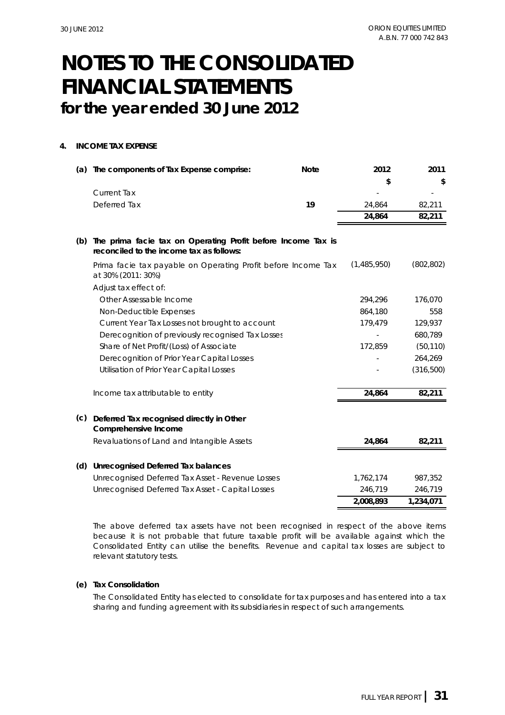### **4. INCOME TAX EXPENSE**

| (a) | The components of Tax Expense comprise:                                                                  | <b>Note</b> | 2012        | 2011       |
|-----|----------------------------------------------------------------------------------------------------------|-------------|-------------|------------|
|     |                                                                                                          |             |             | \$         |
|     | <b>Current Tax</b>                                                                                       |             |             |            |
|     | Deferred Tax                                                                                             | 19          | 24,864      | 82,211     |
|     |                                                                                                          |             | 24,864      | 82,211     |
| (b) | The prima facie tax on Operating Profit before Income Tax is<br>reconciled to the income tax as follows: |             |             |            |
|     | Prima facie tax payable on Operating Profit before Income Tax<br>at 30% (2011: 30%)                      |             | (1,485,950) | (802, 802) |
|     | Adjust tax effect of:                                                                                    |             |             |            |
|     | Other Assessable Income                                                                                  |             | 294,296     | 176,070    |
|     | Non-Deductible Expenses                                                                                  |             | 864,180     | 558        |
|     | Current Year Tax Losses not brought to account                                                           |             | 179,479     | 129,937    |
|     | Derecognition of previously recognised Tax Losses                                                        |             |             | 680,789    |
|     | Share of Net Profit/(Loss) of Associate                                                                  |             | 172,859     | (50, 110)  |
|     | Derecognition of Prior Year Capital Losses                                                               |             |             | 264,269    |
|     | Utilisation of Prior Year Capital Losses                                                                 |             |             | (316, 500) |
|     | Income tax attributable to entity                                                                        |             | 24,864      | 82,211     |
| (c) | Deferred Tax recognised directly in Other<br><b>Comprehensive Income</b>                                 |             |             |            |
|     | Revaluations of Land and Intangible Assets                                                               |             | 24,864      | 82,211     |
| (d) | Unrecognised Deferred Tax balances                                                                       |             |             |            |
|     | Unrecognised Deferred Tax Asset - Revenue Losses                                                         |             | 1,762,174   | 987,352    |
|     | Unrecognised Deferred Tax Asset - Capital Losses                                                         |             | 246,719     | 246,719    |
|     |                                                                                                          |             | 2,008,893   | 1,234,071  |

The above deferred tax assets have not been recognised in respect of the above items because it is not probable that future taxable profit will be available against which the Consolidated Entity can utilise the benefits. Revenue and capital tax losses are subject to relevant statutory tests.

### **(e) Tax Consolidation**

The Consolidated Entity has elected to consolidate for tax purposes and has entered into a tax sharing and funding agreement with its subsidiaries in respect of such arrangements.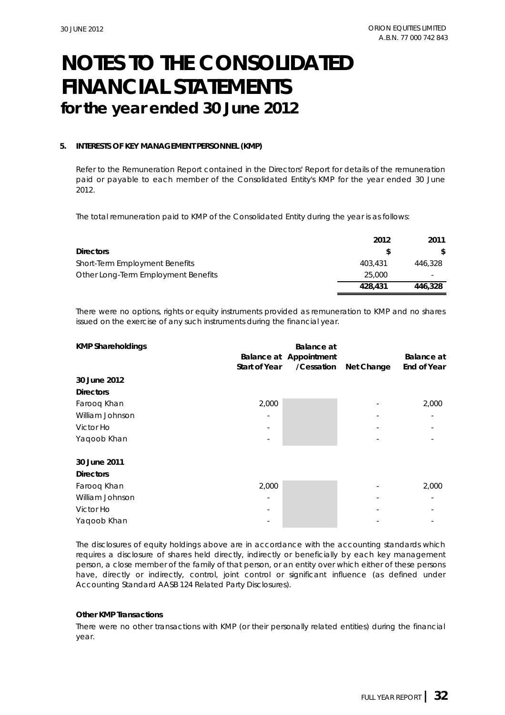### **5. INTERESTS OF KEY MANAGEMENT PERSONNEL (KMP)**

Refer to the Remuneration Report contained in the Directors' Report for details of the remuneration paid or payable to each member of the Consolidated Entity's KMP for the year ended 30 June 2012.

The total remuneration paid to KMP of the Consolidated Entity during the year is as follows:

|                                     | 2012    | 2011    |
|-------------------------------------|---------|---------|
| <b>Directors</b>                    | S       | S.      |
| Short-Term Employment Benefits      | 403,431 | 446,328 |
| Other Long-Term Employment Benefits | 25,000  |         |
|                                     | 428,431 | 446,328 |

There were no options, rights or equity instruments provided as remuneration to KMP and no shares issued on the exercise of any such instruments during the financial year.

| <b>KMP Shareholdings</b> |                      | <b>Balance</b> at             |            |                    |
|--------------------------|----------------------|-------------------------------|------------|--------------------|
|                          |                      | <b>Balance at Appointment</b> |            | <b>Balance</b> at  |
|                          | <b>Start of Year</b> | /Cessation                    | Net Change | <b>End of Year</b> |
| 30 June 2012             |                      |                               |            |                    |
| <b>Directors</b>         |                      |                               |            |                    |
| Farooq Khan              | 2,000                |                               |            | 2,000              |
| William Johnson          | ٠                    |                               |            |                    |
| Victor Ho                |                      |                               |            |                    |
| Yaqoob Khan              |                      |                               |            |                    |
| 30 June 2011             |                      |                               |            |                    |
| <b>Directors</b>         |                      |                               |            |                    |
| Faroog Khan              | 2,000                |                               |            | 2,000              |
| William Johnson          |                      |                               |            |                    |
| Victor Ho                |                      |                               |            |                    |
| Yaqoob Khan              |                      |                               |            |                    |

The disclosures of equity holdings above are in accordance with the accounting standards which requires a disclosure of shares held directly, indirectly or beneficially by each key management person, a close member of the family of that person, or an entity over which either of these persons have, directly or indirectly, control, joint control or significant influence (as defined under Accounting Standard AASB 124 Related Party Disclosures).

#### **Other KMP Transactions**

There were no other transactions with KMP (or their personally related entities) during the financial year.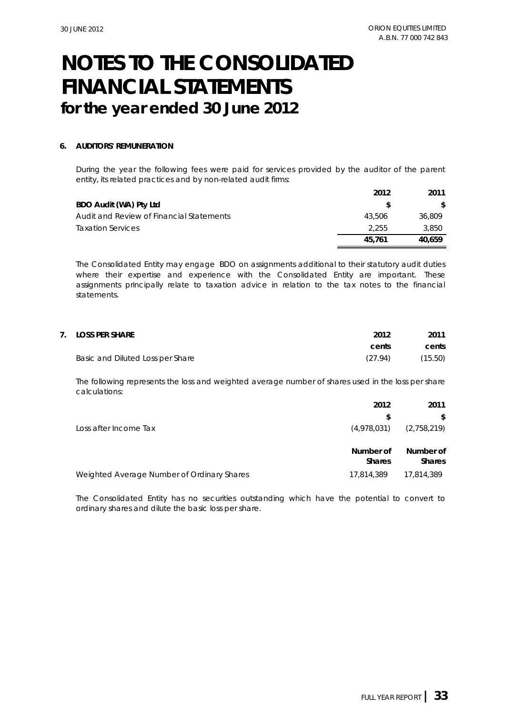#### **6. AUDITORS' REMUNERATION**

During the year the following fees were paid for services provided by the auditor of the parent entity, its related practices and by non-related audit firms:

|                                          | 2012   | 2011   |
|------------------------------------------|--------|--------|
| BDO Audit (WA) Pty Ltd                   |        | S.     |
| Audit and Review of Financial Statements | 43.506 | 36,809 |
| <b>Taxation Services</b>                 | 2.255  | 3,850  |
|                                          | 45.761 | 40.659 |

The Consolidated Entity may engage BDO on assignments additional to their statutory audit duties where their expertise and experience with the Consolidated Entity are important. These assignments principally relate to taxation advice in relation to the tax notes to the financial statements.

| 7. LOSS PER SHARE                | 2012    | 2011    |
|----------------------------------|---------|---------|
|                                  | cents   | cents   |
| Basic and Diluted Loss per Share | (27.94) | (15.50) |

The following represents the loss and weighted average number of shares used in the loss per share calculations:

|                                            | 2012                       | 2011                       |
|--------------------------------------------|----------------------------|----------------------------|
|                                            | S                          | \$                         |
| Loss after Income Tax                      | (4,978,031)                | (2,758,219)                |
|                                            | Number of<br><b>Shares</b> | Number of<br><b>Shares</b> |
| Weighted Average Number of Ordinary Shares | 17,814,389                 | 17,814,389                 |

The Consolidated Entity has no securities outstanding which have the potential to convert to ordinary shares and dilute the basic loss per share.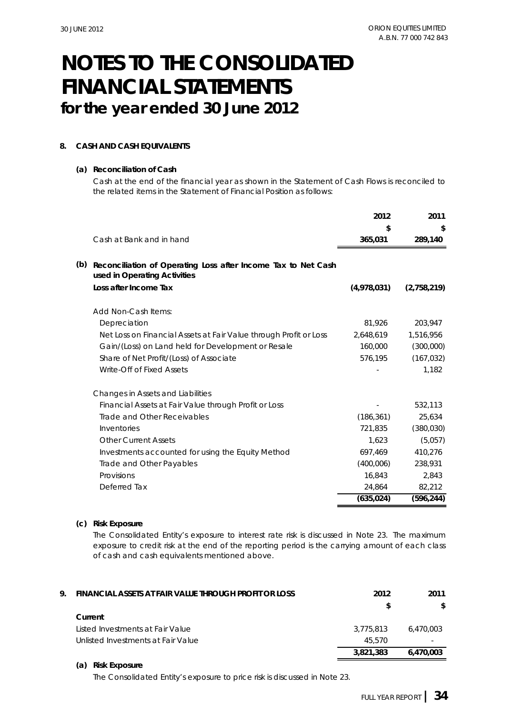### **8. CASH AND CASH EQUIVALENTS**

#### **(a) Reconciliation of Cash**

Cash at the end of the financial year as shown in the Statement of Cash Flows is reconciled to the related items in the Statement of Financial Position as follows:

|     |                                                                                               | 2012        | 2011        |
|-----|-----------------------------------------------------------------------------------------------|-------------|-------------|
|     |                                                                                               | \$          | \$          |
|     | Cash at Bank and in hand                                                                      | 365,031     | 289,140     |
| (b) | Reconciliation of Operating Loss after Income Tax to Net Cash<br>used in Operating Activities |             |             |
|     | Loss after Income Tax                                                                         | (4,978,031) | (2,758,219) |
|     | Add Non-Cash Items:                                                                           |             |             |
|     | Depreciation                                                                                  | 81,926      | 203,947     |
|     | Net Loss on Financial Assets at Fair Value through Profit or Loss                             | 2,648,619   | 1,516,956   |
|     | Gain/(Loss) on Land held for Development or Resale                                            | 160,000     | (300,000)   |
|     | Share of Net Profit/(Loss) of Associate                                                       | 576,195     | (167, 032)  |
|     | Write-Off of Fixed Assets                                                                     |             | 1,182       |
|     | Changes in Assets and Liabilities                                                             |             |             |
|     | Financial Assets at Fair Value through Profit or Loss                                         |             | 532,113     |
|     | Trade and Other Receivables                                                                   | (186, 361)  | 25,634      |
|     | Inventories                                                                                   | 721,835     | (380, 030)  |
|     | <b>Other Current Assets</b>                                                                   | 1,623       | (5,057)     |
|     | Investments accounted for using the Equity Method                                             | 697,469     | 410,276     |
|     | Trade and Other Payables                                                                      | (400,006)   | 238,931     |
|     | Provisions                                                                                    | 16,843      | 2,843       |
|     | Deferred Tax                                                                                  | 24,864      | 82,212      |
|     |                                                                                               | (635, 024)  | (596, 244)  |

#### **(c) Risk Exposure**

The Consolidated Entity's exposure to interest rate risk is discussed in Note 23. The maximum exposure to credit risk at the end of the reporting period is the carrying amount of each class of cash and cash equivalents mentioned above.

| 9. | FINANCIAL ASSETS AT FAIR VALUE THROUGH PROFIT OR LOSS | 2012      | 2011      |
|----|-------------------------------------------------------|-----------|-----------|
|    |                                                       |           | S.        |
|    | Current                                               |           |           |
|    | Listed Investments at Fair Value                      | 3.775.813 | 6.470.003 |
|    | Unlisted Investments at Fair Value                    | 45.570    |           |
|    |                                                       | 3.821.383 | 6.470.003 |

### **(a) Risk Exposure**

The Consolidated Entity's exposure to price risk is discussed in Note 23.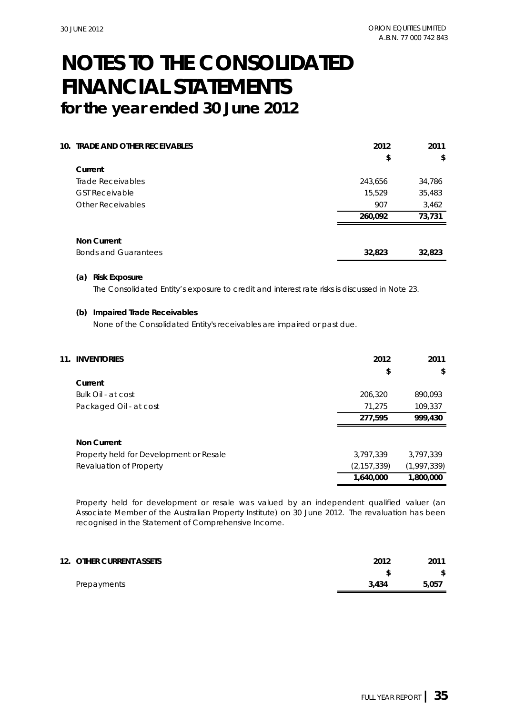| <b>10. TRADE AND OTHER RECEIVABLES</b> | 2012    | 2011   |
|----------------------------------------|---------|--------|
|                                        | \$      | \$     |
| Current                                |         |        |
| Trade Receivables                      | 243,656 | 34,786 |
| <b>GST Receivable</b>                  | 15,529  | 35,483 |
| <b>Other Receivables</b>               | 907     | 3,462  |
|                                        | 260,092 | 73,731 |
| <b>Non Current</b>                     |         |        |
| <b>Bonds and Guarantees</b>            | 32,823  | 32,823 |

#### **(a) Risk Exposure**

The Consolidated Entity's exposure to credit and interest rate risks is discussed in Note 23.

#### **(b) Impaired Trade Receivables**

None of the Consolidated Entity's receivables are impaired or past due.

| <b>INVENTORIES</b><br>11. |                                         | 2012          | 2011        |
|---------------------------|-----------------------------------------|---------------|-------------|
|                           |                                         | \$            | \$          |
| Current                   |                                         |               |             |
| Bulk Oil - at cost        |                                         | 206,320       | 890,093     |
|                           | Packaged Oil - at cost                  | 71.275        | 109.337     |
|                           |                                         | 277,595       | 999,430     |
| <b>Non Current</b>        |                                         |               |             |
|                           | Property held for Development or Resale | 3,797,339     | 3.797.339   |
|                           | Revaluation of Property                 | (2, 157, 339) | (1,997,339) |
|                           |                                         | 1,640,000     | 1,800,000   |

Property held for development or resale was valued by an independent qualified valuer (an Associate Member of the Australian Property Institute) on 30 June 2012. The revaluation has been recognised in the Statement of Comprehensive Income.

| 12. OTHER CURRENT ASSETS | 2012  | 2011  |
|--------------------------|-------|-------|
|                          |       | \$    |
| Prepayments              | 3.434 | 5.057 |
|                          |       |       |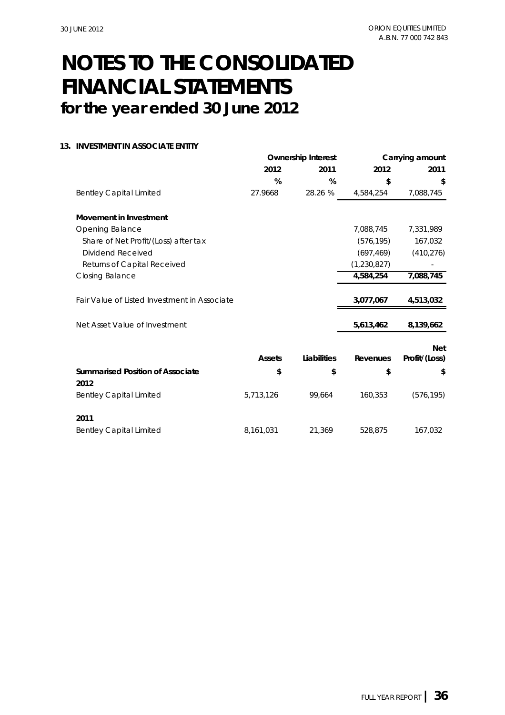### **13. INVESTMENT IN ASSOCIATE ENTITY**

|                                              |               | <b>Ownership Interest</b> |             | Carrying amount |
|----------------------------------------------|---------------|---------------------------|-------------|-----------------|
|                                              | 2012          | 2011                      | 2012        | 2011            |
|                                              | %             | %                         | \$          | \$              |
| <b>Bentley Capital Limited</b>               | 27.9668       | 28.26 %                   | 4,584,254   | 7,088,745       |
| <b>Movement in Investment</b>                |               |                           |             |                 |
| Opening Balance                              |               |                           | 7,088,745   | 7,331,989       |
| Share of Net Profit/(Loss) after tax         |               |                           | (576, 195)  | 167,032         |
| Dividend Received                            |               |                           | (697, 469)  | (410, 276)      |
| Returns of Capital Received                  |               |                           | (1,230,827) |                 |
| Closing Balance                              |               |                           | 4,584,254   | 7,088,745       |
|                                              |               |                           |             |                 |
| Fair Value of Listed Investment in Associate |               |                           | 3,077,067   | 4,513,032       |
|                                              |               |                           |             |                 |
| Net Asset Value of Investment                |               |                           | 5,613,462   | 8,139,662       |
|                                              |               |                           |             | <b>Net</b>      |
|                                              | <b>Assets</b> | Liabilities               | Revenues    | Profit/(Loss)   |
| <b>Summarised Position of Associate</b>      | \$            | \$                        | \$          | \$              |
| 2012                                         |               |                           |             |                 |
| <b>Bentley Capital Limited</b>               | 5,713,126     | 99,664                    | 160,353     | (576, 195)      |
| 2011                                         |               |                           |             |                 |
| <b>Bentley Capital Limited</b>               | 8,161,031     | 21,369                    | 528,875     | 167,032         |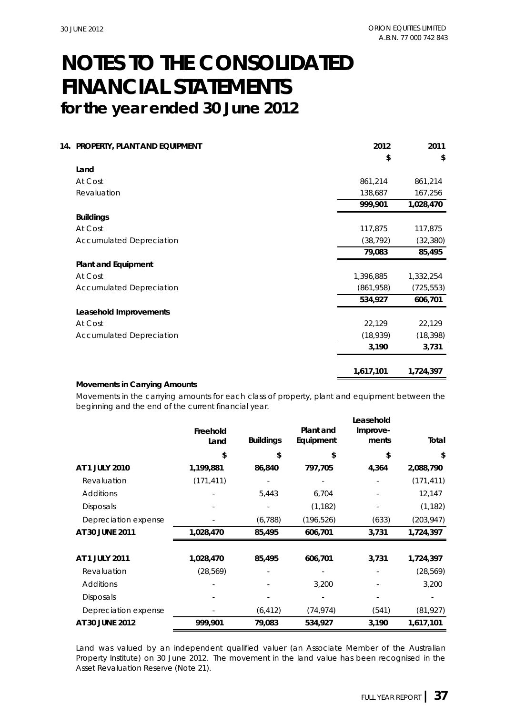| 14. PROPERTY, PLANT AND EQUIPMENT | 2012      | 2011       |
|-----------------------------------|-----------|------------|
|                                   | \$        | \$         |
| Land                              |           |            |
| At Cost                           | 861,214   | 861,214    |
| Revaluation                       | 138,687   | 167,256    |
|                                   | 999,901   | 1,028,470  |
| <b>Buildings</b>                  |           |            |
| At Cost                           | 117,875   | 117,875    |
| <b>Accumulated Depreciation</b>   | (38, 792) | (32, 380)  |
|                                   | 79,083    | 85,495     |
| <b>Plant and Equipment</b>        |           |            |
| At Cost                           | 1,396,885 | 1,332,254  |
| <b>Accumulated Depreciation</b>   | (861,958) | (725, 553) |
|                                   | 534,927   | 606,701    |
| Leasehold Improvements            |           |            |
| At Cost                           | 22,129    | 22,129     |
| <b>Accumulated Depreciation</b>   | (18,939)  | (18, 398)  |
|                                   | 3,190     | 3,731      |
|                                   | 1,617,101 | 1,724,397  |

### **Movements in Carrying Amounts**

Movements in the carrying amounts for each class of property, plant and equipment between the beginning and the end of the current financial year.

|                      | Freehold<br>Land | <b>Buildings</b> | Plant and<br>Equipment | Leasehold<br>Improve-<br>ments | Total      |
|----------------------|------------------|------------------|------------------------|--------------------------------|------------|
|                      | \$               | \$               | \$                     | \$                             | \$         |
| AT 1 JULY 2010       | 1,199,881        | 86,840           | 797,705                | 4,364                          | 2,088,790  |
| Revaluation          | (171, 411)       |                  |                        |                                | (171, 411) |
| Additions            |                  | 5,443            | 6,704                  |                                | 12,147     |
| <b>Disposals</b>     |                  |                  | (1, 182)               |                                | (1, 182)   |
| Depreciation expense |                  | (6, 788)         | (196, 526)             | (633)                          | (203, 947) |
| AT 30 JUNE 2011      | 1,028,470        | 85,495           | 606,701                | 3,731                          | 1,724,397  |
| AT 1 JULY 2011       | 1,028,470        | 85,495           | 606,701                | 3,731                          | 1,724,397  |
| Revaluation          | (28, 569)        |                  |                        |                                | (28, 569)  |
| Additions            |                  |                  | 3,200                  |                                | 3,200      |
| <b>Disposals</b>     |                  |                  |                        |                                |            |
| Depreciation expense |                  | (6, 412)         | (74, 974)              | (541)                          | (81, 927)  |
| AT 30 JUNE 2012      | 999,901          | 79,083           | 534,927                | 3,190                          | 1,617,101  |

Land was valued by an independent qualified valuer (an Associate Member of the Australian Property Institute) on 30 June 2012. The movement in the land value has been recognised in the Asset Revaluation Reserve (Note 21).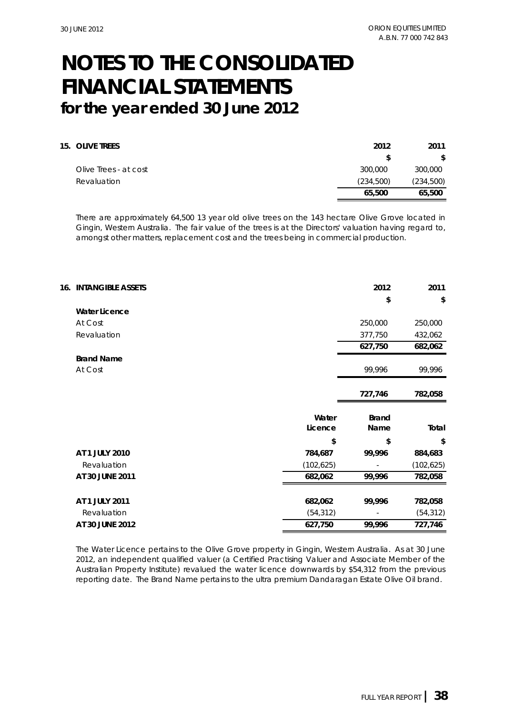| <b>15. OLIVE TREES</b> | 2012      | 2011      |
|------------------------|-----------|-----------|
|                        | \$.       | S.        |
| Olive Trees - at cost  | 300,000   | 300,000   |
| Revaluation            | (234,500) | (234,500) |
|                        | 65,500    | 65,500    |

There are approximately 64,500 13 year old olive trees on the 143 hectare Olive Grove located in Gingin, Western Australia. The fair value of the trees is at the Directors' valuation having regard to, amongst other matters, replacement cost and the trees being in commercial production.

| <b>16. INTANGIBLE ASSETS</b> |            | 2012                     | 2011       |
|------------------------------|------------|--------------------------|------------|
|                              |            | \$                       | \$         |
| <b>Water Licence</b>         |            |                          |            |
| At Cost                      |            | 250,000                  | 250,000    |
| Revaluation                  |            | 377,750                  | 432,062    |
|                              |            | 627,750                  | 682,062    |
| <b>Brand Name</b>            |            |                          |            |
| At Cost                      |            | 99,996                   | 99,996     |
|                              |            |                          |            |
|                              |            | 727,746                  | 782,058    |
|                              | Water      | <b>Brand</b>             |            |
|                              | Licence    | Name                     | Total      |
|                              | \$         | \$                       | \$         |
| AT 1 JULY 2010               | 784,687    | 99,996                   | 884,683    |
| Revaluation                  | (102, 625) | $\overline{\phantom{a}}$ | (102, 625) |
| AT 30 JUNE 2011              | 682,062    | 99,996                   | 782,058    |
|                              |            |                          |            |
| AT 1 JULY 2011               | 682,062    | 99,996                   | 782,058    |
| Revaluation                  | (54, 312)  |                          | (54, 312)  |
| AT 30 JUNE 2012              | 627,750    | 99,996                   | 727,746    |

The Water Licence pertains to the Olive Grove property in Gingin, Western Australia. As at 30 June 2012, an independent qualified valuer (a Certified Practising Valuer and Associate Member of the Australian Property Institute) revalued the water licence downwards by \$54,312 from the previous reporting date. The Brand Name pertains to the ultra premium Dandaragan Estate Olive Oil brand.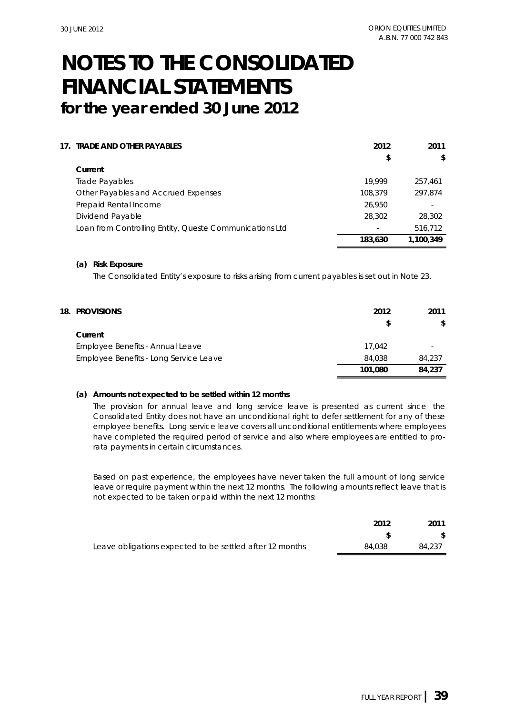| 17. TRADE AND OTHER PAYABLES                            | 2012    | 2011      |
|---------------------------------------------------------|---------|-----------|
|                                                         | \$      | \$        |
| Current                                                 |         |           |
| Trade Payables                                          | 19.999  | 257.461   |
| Other Payables and Accrued Expenses                     | 108,379 | 297.874   |
| Prepaid Rental Income                                   | 26,950  |           |
| Dividend Payable                                        | 28,302  | 28,302    |
| Loan from Controlling Entity, Queste Communications Ltd | $\sim$  | 516,712   |
|                                                         | 183,630 | 1,100,349 |

#### **(a) Risk Exposure**

The Consolidated Entity's exposure to risks arising from current payables is set out in Note 23.

| <b>18. PROVISIONS</b>                  | 2012<br>S | 2011<br>\$ |
|----------------------------------------|-----------|------------|
| Current                                |           |            |
| Employee Benefits - Annual Leave       | 17.042    |            |
| Employee Benefits - Long Service Leave | 84,038    | 84,237     |
|                                        | 101.080   | 84.237     |

#### **(a) Amounts not expected to be settled within 12 months**

The provision for annual leave and long service leave is presented as current since the Consolidated Entity does not have an unconditional right to defer settlement for any of these employee benefits. Long service leave covers all unconditional entitlements where employees have completed the required period of service and also where employees are entitled to prorata payments in certain circumstances.

Based on past experience, the employees have never taken the full amount of long service leave or require payment within the next 12 months. The following amounts reflect leave that is not expected to be taken or paid within the next 12 months:

|                                                          | 2012   | 2011   |
|----------------------------------------------------------|--------|--------|
|                                                          |        |        |
| Leave obligations expected to be settled after 12 months | 84.038 | 84,237 |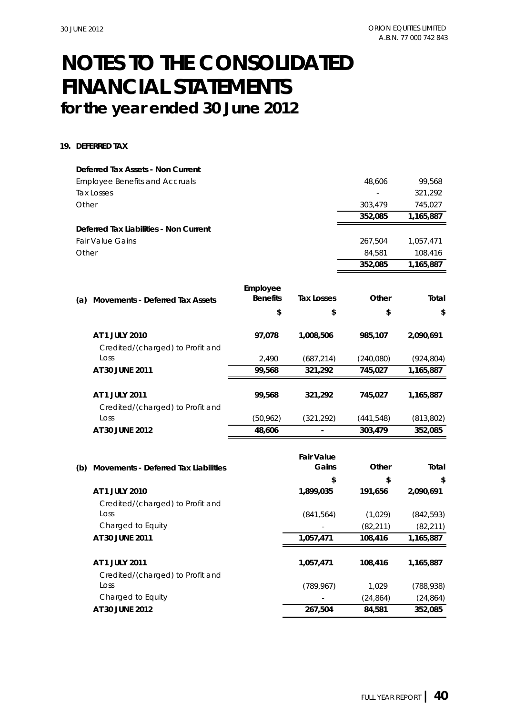#### **19. DEFERRED TAX**

|       | Deferred Tax Assets - Non Current      |                             |                   |            |            |
|-------|----------------------------------------|-----------------------------|-------------------|------------|------------|
|       | <b>Employee Benefits and Accruals</b>  |                             |                   | 48,606     | 99,568     |
|       | <b>Tax Losses</b>                      |                             |                   |            | 321,292    |
| Other |                                        |                             |                   | 303,479    | 745,027    |
|       |                                        |                             |                   | 352,085    | 1,165,887  |
|       | Deferred Tax Liabilities - Non Current |                             |                   |            |            |
|       | <b>Fair Value Gains</b>                |                             |                   | 267,504    | 1,057,471  |
| Other |                                        |                             |                   | 84,581     | 108,416    |
|       |                                        |                             |                   | 352,085    | 1,165,887  |
|       |                                        |                             |                   |            |            |
|       |                                        | Employee<br><b>Benefits</b> | <b>Tax Losses</b> | Other      | Total      |
| (a)   | <b>Movements - Deferred Tax Assets</b> |                             |                   |            |            |
|       |                                        | \$                          | \$                | \$         | \$         |
|       | AT 1 JULY 2010                         | 97,078                      | 1,008,506         | 985,107    | 2,090,691  |
|       | Credited/(charged) to Profit and       |                             |                   |            |            |
|       | Loss                                   | 2,490                       | (687, 214)        | (240, 080) | (924, 804) |
|       | AT 30 JUNE 2011                        | 99,568                      | 321,292           | 745,027    | 1,165,887  |
|       | AT 1 JULY 2011                         | 99,568                      | 321,292           | 745,027    | 1,165,887  |
|       | Credited/(charged) to Profit and       |                             |                   |            |            |
|       | Loss                                   | (50, 962)                   | (321, 292)        | (441, 548) | (813, 802) |
|       | AT 30 JUNE 2012                        | 48,606                      |                   | 303,479    | 352,085    |
|       |                                        |                             |                   |            |            |
|       |                                        |                             | <b>Fair Value</b> |            |            |
| (b)   | Movements - Deferred Tax Liabilities   |                             | Gains             | Other      | Total      |
|       |                                        |                             | \$                | \$         | \$         |
|       | AT 1 JULY 2010                         |                             | 1,899,035         | 191,656    | 2,090,691  |

| AT 1 JULY 2010                   | 1,899,035  | 191.656   | 2.090.691  |
|----------------------------------|------------|-----------|------------|
| Credited/(charged) to Profit and |            |           |            |
| Loss                             | (841, 564) | (1,029)   | (842, 593) |
| Charged to Equity                |            | (82, 211) | (82, 211)  |
| AT 30 JUNE 2011                  | 1,057,471  | 108,416   | 1,165,887  |
|                                  |            |           |            |
| AT 1 JULY 2011                   | 1.057.471  | 108,416   | 1.165.887  |
| Credited/(charged) to Profit and |            |           |            |
| Loss                             | (789, 967) | 1.029     | (788, 938) |
| Charged to Equity                |            | (24, 864) | (24,864)   |
| AT 30 JUNE 2012                  | 267,504    | 84,581    | 352,085    |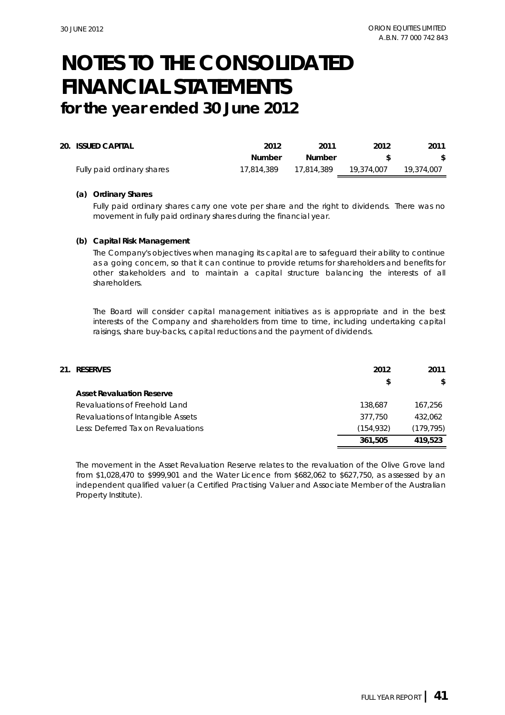| 20. ISSUED CAPITAL         | 2012       | 2011       | 2012       | 2011       |
|----------------------------|------------|------------|------------|------------|
|                            | Number     | Number     |            |            |
| Fully paid ordinary shares | 17.814.389 | 17,814,389 | 19.374.007 | 19,374,007 |

#### **(a) Ordinary Shares**

Fully paid ordinary shares carry one vote per share and the right to dividends. There was no movement in fully paid ordinary shares during the financial year.

#### **(b) Capital Risk Management**

The Company's objectives when managing its capital are to safeguard their ability to continue as a going concern, so that it can continue to provide returns for shareholders and benefits for other stakeholders and to maintain a capital structure balancing the interests of all shareholders.

The Board will consider capital management initiatives as is appropriate and in the best interests of the Company and shareholders from time to time, including undertaking capital raisings, share buy-backs, capital reductions and the payment of dividends.

| 21. RESERVES                       | 2012      | 2011       |
|------------------------------------|-----------|------------|
|                                    | \$        | S.         |
| <b>Asset Revaluation Reserve</b>   |           |            |
| Revaluations of Freehold Land      | 138,687   | 167.256    |
| Revaluations of Intangible Assets  | 377,750   | 432.062    |
| Less: Deferred Tax on Revaluations | (154,932) | (179, 795) |
|                                    | 361,505   | 419.523    |

The movement in the Asset Revaluation Reserve relates to the revaluation of the Olive Grove land from \$1,028,470 to \$999,901 and the Water Licence from \$682,062 to \$627,750, as assessed by an independent qualified valuer (a Certified Practising Valuer and Associate Member of the Australian Property Institute).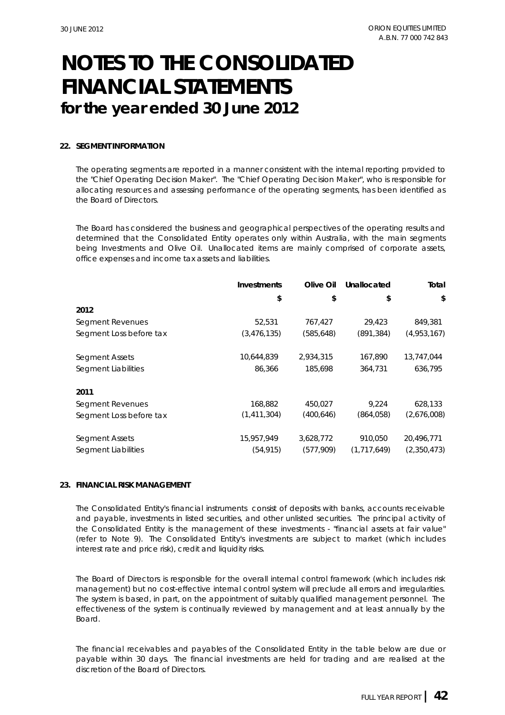### **22. SEGMENT INFORMATION**

The operating segments are reported in a manner consistent with the internal reporting provided to the "Chief Operating Decision Maker". The "Chief Operating Decision Maker", who is responsible for allocating resources and assessing performance of the operating segments, has been identified as the Board of Directors.

The Board has considered the business and geographical perspectives of the operating results and determined that the Consolidated Entity operates only within Australia, with the main segments being Investments and Olive Oil. Unallocated items are mainly comprised of corporate assets, office expenses and income tax assets and liabilities.

|                         | <b>Investments</b> | Olive Oil  | Unallocated | Total       |
|-------------------------|--------------------|------------|-------------|-------------|
|                         | \$                 | \$         | \$          | \$          |
| 2012                    |                    |            |             |             |
| Segment Revenues        | 52,531             | 767,427    | 29,423      | 849,381     |
| Segment Loss before tax | (3,476,135)        | (585, 648) | (891, 384)  | (4,953,167) |
| Segment Assets          | 10,644,839         | 2,934,315  | 167,890     | 13,747,044  |
| Segment Liabilities     | 86,366             | 185,698    | 364,731     | 636,795     |
| 2011                    |                    |            |             |             |
| Segment Revenues        | 168,882            | 450,027    | 9,224       | 628,133     |
| Segment Loss before tax | (1,411,304)        | (400, 646) | (864,058)   | (2,676,008) |
| Segment Assets          | 15,957,949         | 3,628,772  | 910,050     | 20,496,771  |
| Segment Liabilities     | (54, 915)          | (577,909)  | (1,717,649) | (2,350,473) |

#### **23. FINANCIAL RISK MANAGEMENT**

The Consolidated Entity's financial instruments consist of deposits with banks, accounts receivable and payable, investments in listed securities, and other unlisted securities. The principal activity of the Consolidated Entity is the management of these investments - "financial assets at fair value" (refer to Note 9). The Consolidated Entity's investments are subject to market (which includes interest rate and price risk), credit and liquidity risks.

The Board of Directors is responsible for the overall internal control framework (which includes risk management) but no cost-effective internal control system will preclude all errors and irregularities. The system is based, in part, on the appointment of suitably qualified management personnel. The effectiveness of the system is continually reviewed by management and at least annually by the Board.

The financial receivables and payables of the Consolidated Entity in the table below are due or payable within 30 days. The financial investments are held for trading and are realised at the discretion of the Board of Directors.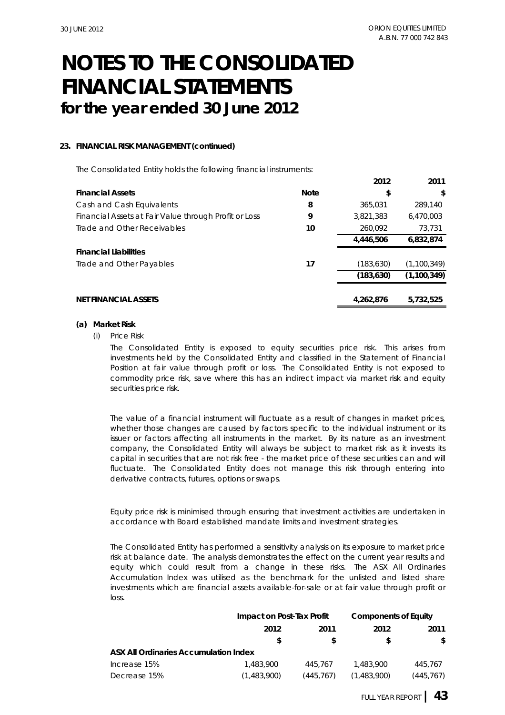**2012 2011**

## **for the year ended 30 June 2012 FINANCIAL STATEMENTS NOTES TO THE CONSOLIDATED**

### **23. FINANCIAL RISK MANAGEMENT (continued)**

The Consolidated Entity holds the following financial instruments:

|                                                       |             | ZUIZ       | 20 L L        |
|-------------------------------------------------------|-------------|------------|---------------|
| <b>Financial Assets</b>                               | <b>Note</b> | \$         | \$            |
| Cash and Cash Equivalents                             | 8           | 365,031    | 289,140       |
| Financial Assets at Fair Value through Profit or Loss | 9           | 3,821,383  | 6,470,003     |
| Trade and Other Receivables                           | 10          | 260,092    | 73,731        |
|                                                       |             | 4,446,506  | 6,832,874     |
| <b>Financial Liabilities</b>                          |             |            |               |
| Trade and Other Payables                              | 17          | (183, 630) | (1, 100, 349) |
|                                                       |             | (183, 630) | (1,100,349)   |
|                                                       |             |            |               |
| <b>NET FINANCIAL ASSETS</b>                           |             | 4,262,876  | 5,732,525     |
|                                                       |             |            |               |

#### **(a) Market Risk**

(i) *Price Risk*

The Consolidated Entity is exposed to equity securities price risk. This arises from investments held by the Consolidated Entity and classified in the Statement of Financial Position at fair value through profit or loss. The Consolidated Entity is not exposed to commodity price risk, save where this has an indirect impact via market risk and equity securities price risk.

The value of a financial instrument will fluctuate as a result of changes in market prices, whether those changes are caused by factors specific to the individual instrument or its issuer or factors affecting all instruments in the market. By its nature as an investment company, the Consolidated Entity will always be subject to market risk as it invests its capital in securities that are not risk free - the market price of these securities can and will fluctuate. The Consolidated Entity does not manage this risk through entering into derivative contracts, futures, options or swaps.

Equity price risk is minimised through ensuring that investment activities are undertaken in accordance with Board established mandate limits and investment strategies.

The Consolidated Entity has performed a sensitivity analysis on its exposure to market price risk at balance date. The analysis demonstrates the effect on the current year results and equity which could result from a change in these risks. The ASX All Ordinaries Accumulation Index was utilised as the benchmark for the unlisted and listed share investments which are financial assets available-for-sale or at fair value through profit or loss.

|                                              |             | Impact on Post-Tax Profit |             | <b>Components of Equity</b> |      |
|----------------------------------------------|-------------|---------------------------|-------------|-----------------------------|------|
|                                              | 2012        | 2011<br>S<br>S            |             | 2012                        | 2011 |
|                                              |             |                           | S           | S.                          |      |
| <b>ASX All Ordinaries Accumulation Index</b> |             |                           |             |                             |      |
| Increase 15%                                 | 1,483,900   | 445.767                   | 1,483,900   | 445.767                     |      |
| Decrease 15%                                 | (1,483,900) | (445,767)                 | (1,483,900) | (445,767)                   |      |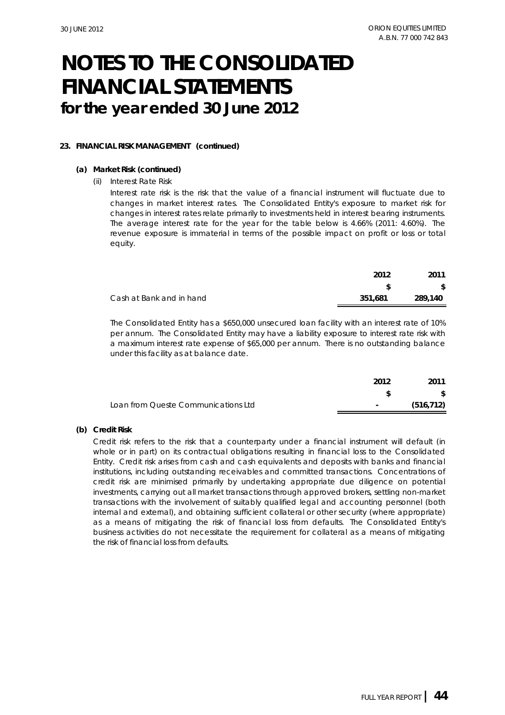### **23. FINANCIAL RISK MANAGEMENT (continued)**

#### **(a) Market Risk (continued)**

#### (ii) *Interest Rate Risk*

Interest rate risk is the risk that the value of a financial instrument will fluctuate due to changes in market interest rates. The Consolidated Entity's exposure to market risk for changes in interest rates relate primarily to investments held in interest bearing instruments. The average interest rate for the year for the table below is 4.66% (2011: 4.60%). The revenue exposure is immaterial in terms of the possible impact on profit or loss or total equity.

|                          | 2012    | 2011    |
|--------------------------|---------|---------|
|                          |         |         |
| Cash at Bank and in hand | 351.681 | 289,140 |
|                          |         |         |

The Consolidated Entity has a \$650,000 unsecured loan facility with an interest rate of 10% per annum. The Consolidated Entity may have a liability exposure to interest rate risk with a maximum interest rate expense of \$65,000 per annum. There is no outstanding balance under this facility as at balance date.

|                                     | 2012       | 2011       |
|-------------------------------------|------------|------------|
|                                     |            |            |
| Loan from Queste Communications Ltd | $\sim 100$ | (516, 712) |

### **(b) Credit Risk**

Credit risk refers to the risk that a counterparty under a financial instrument will default (in whole or in part) on its contractual obligations resulting in financial loss to the Consolidated Entity. Credit risk arises from cash and cash equivalents and deposits with banks and financial institutions, including outstanding receivables and committed transactions. Concentrations of credit risk are minimised primarily by undertaking appropriate due diligence on potential investments, carrying out all market transactions through approved brokers, settling non-market transactions with the involvement of suitably qualified legal and accounting personnel (both internal and external), and obtaining sufficient collateral or other security (where appropriate) as a means of mitigating the risk of financial loss from defaults. The Consolidated Entity's business activities do not necessitate the requirement for collateral as a means of mitigating the risk of financial loss from defaults.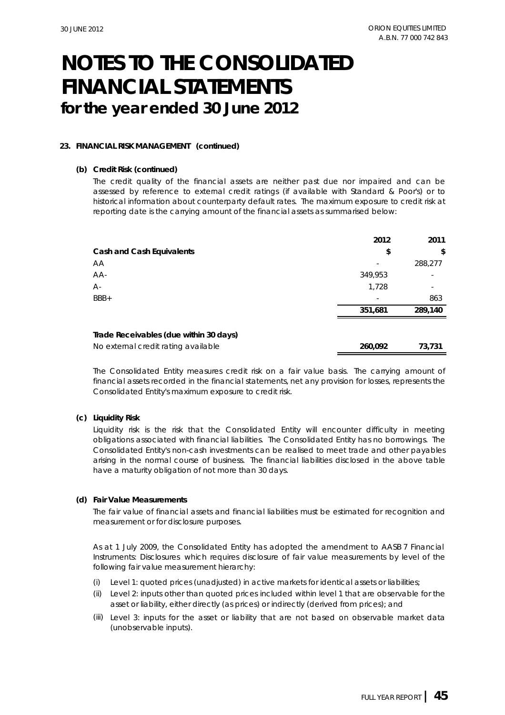### **23. FINANCIAL RISK MANAGEMENT (continued)**

#### **(b) Credit Risk (continued)**

The credit quality of the financial assets are neither past due nor impaired and can be assessed by reference to external credit ratings (if available with Standard & Poor's) or to historical information about counterparty default rates. The maximum exposure to credit risk at reporting date is the carrying amount of the financial assets as summarised below:

|                                        | 2012    | 2011    |
|----------------------------------------|---------|---------|
| Cash and Cash Equivalents              | \$      | \$      |
| АA                                     |         | 288,277 |
| AA-                                    | 349,953 |         |
| А-                                     | 1,728   |         |
| BBB+                                   |         | 863     |
|                                        | 351,681 | 289,140 |
| Trade Receivables (due within 30 days) |         |         |
| No external credit rating available    | 260,092 | 73,731  |

The Consolidated Entity measures credit risk on a fair value basis. The carrying amount of financial assets recorded in the financial statements, net any provision for losses, represents the Consolidated Entity's maximum exposure to credit risk.

### **(c) Liquidity Risk**

Liquidity risk is the risk that the Consolidated Entity will encounter difficulty in meeting obligations associated with financial liabilities. The Consolidated Entity has no borrowings. The Consolidated Entity's non-cash investments can be realised to meet trade and other payables arising in the normal course of business. The financial liabilities disclosed in the above table have a maturity obligation of not more than 30 days.

#### **(d) Fair Value Measurements**

The fair value of financial assets and financial liabilities must be estimated for recognition and measurement or for disclosure purposes.

As at 1 July 2009, the Consolidated Entity has adopted the amendment to AASB 7 *Financial Instruments: Disclosures* which requires disclosure of fair value measurements by level of the following fair value measurement hierarchy:

- (i) Level 1: quoted prices (unadjusted) in active markets for identical assets or liabilities;
- (ii) Level 2: inputs other than quoted prices included within level 1 that are observable for the asset or liability, either directly (as prices) or indirectly (derived from prices); and
- (iii) Level 3: inputs for the asset or liability that are not based on observable market data (unobservable inputs).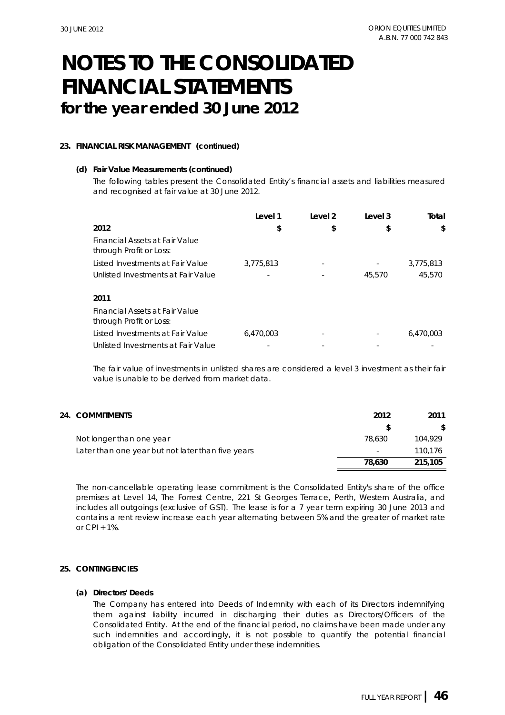### **23. FINANCIAL RISK MANAGEMENT (continued)**

#### **(d) Fair Value Measurements (continued)**

The following tables present the Consolidated Entity's financial assets and liabilities measured and recognised at fair value at 30 June 2012.

|                                                           | Level 1   | Level 2 | Level 3 | Total     |
|-----------------------------------------------------------|-----------|---------|---------|-----------|
| 2012                                                      | \$        | \$      | \$      | \$        |
| Financial Assets at Fair Value<br>through Profit or Loss: |           |         |         |           |
| Listed Investments at Fair Value                          | 3,775,813 |         | ٠       | 3,775,813 |
| Unlisted Investments at Fair Value                        |           |         | 45,570  | 45,570    |
|                                                           |           |         |         |           |
| 2011                                                      |           |         |         |           |
| Financial Assets at Fair Value<br>through Profit or Loss: |           |         |         |           |
| Listed Investments at Fair Value                          | 6.470.003 |         |         | 6.470.003 |
| Unlisted Investments at Fair Value                        |           |         |         |           |

The fair value of investments in unlisted shares are considered a level 3 investment as their fair value is unable to be derived from market data.

## **24. 2012 2011 COMMITMENTS**

| Not longer than one year                          | 78.630 | 104.929 |
|---------------------------------------------------|--------|---------|
| Later than one year but not later than five years | ٠      | 110.176 |
|                                                   | 78.630 | 215,105 |

The non-cancellable operating lease commitment is the Consolidated Entity's share of the office premises at Level 14, The Forrest Centre, 221 St Georges Terrace, Perth, Western Australia, and includes all outgoings (exclusive of GST). The lease is for a 7 year term expiring 30 June 2013 and contains a rent review increase each year alternating between 5% and the greater of market rate or  $CPI + 1\%$ 

### **25. CONTINGENCIES**

#### **(a) Directors' Deeds**

The Company has entered into Deeds of Indemnity with each of its Directors indemnifying them against liability incurred in discharging their duties as Directors/Officers of the Consolidated Entity. At the end of the financial period, no claims have been made under any such indemnities and accordingly, it is not possible to quantify the potential financial obligation of the Consolidated Entity under these indemnities.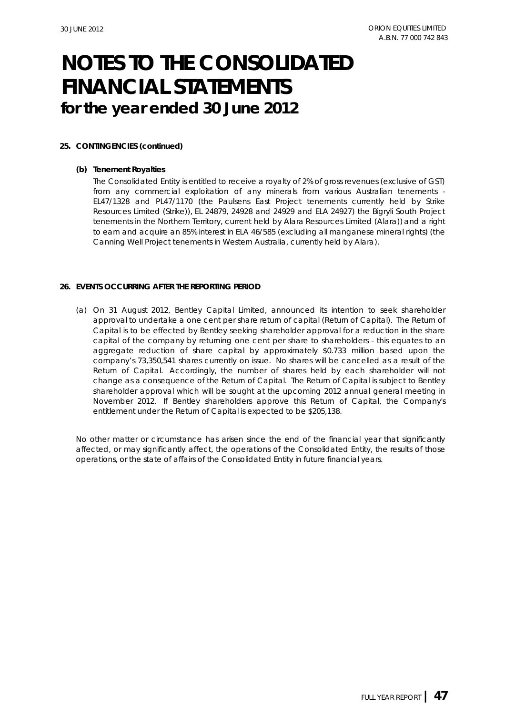### **25. CONTINGENCIES (continued)**

#### **(b) Tenement Royalties**

The Consolidated Entity is entitled to receive a royalty of 2% of gross revenues (exclusive of GST) from any commercial exploitation of any minerals from various Australian tenements - EL47/1328 and PL47/1170 (the Paulsens East Project tenements currently held by Strike Resources Limited (Strike)), EL 24879, 24928 and 24929 and ELA 24927) the Bigryli South Project tenements in the Northern Territory, current held by Alara Resources Limited (Alara)) and a right to earn and acquire an 85% interest in ELA 46/585 (excluding all manganese mineral rights) (the Canning Well Project tenements in Western Australia, currently held by Alara).

#### **26. EVENTS OCCURRING AFTER THE REPORTING PERIOD**

(a) On 31 August 2012, Bentley Capital Limited, announced its intention to seek shareholder approval to undertake a one cent per share return of capital (Return of Capital). The Return of Capital is to be effected by Bentley seeking shareholder approval for a reduction in the share capital of the company by returning one cent per share to shareholders - this equates to an aggregate reduction of share capital by approximately \$0.733 million based upon the company's 73,350,541 shares currently on issue. No shares will be cancelled as a result of the Return of Capital. Accordingly, the number of shares held by each shareholder will not change as a consequence of the Return of Capital. The Return of Capital is subject to Bentley shareholder approval which will be sought at the upcoming 2012 annual general meeting in November 2012. If Bentley shareholders approve this Return of Capital, the Company's entitlement under the Return of Capital is expected to be \$205,138.

No other matter or circumstance has arisen since the end of the financial year that significantly affected, or may significantly affect, the operations of the Consolidated Entity, the results of those operations, or the state of affairs of the Consolidated Entity in future financial years.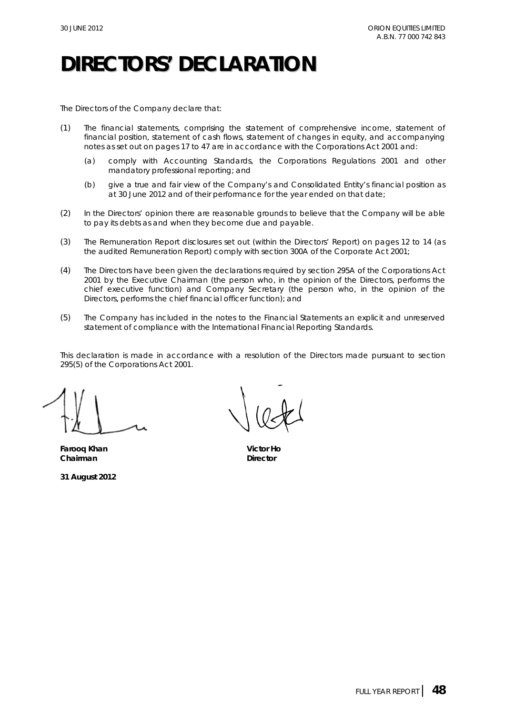## **DIRECTORS' DECLARATION**

The Directors of the Company declare that:

- (1) The financial statements, comprising the statement of comprehensive income, statement of financial position, statement of cash flows, statement of changes in equity, and accompanying notes as set out on pages 17 to 47 are in accordance with the *Corporations Act 2001* and:
	- (a) comply with Accounting Standards, the *Corporations Regulations 2001* and other mandatory professional reporting; and
	- (b) give a true and fair view of the Company's and Consolidated Entity's financial position as at 30 June 2012 and of their performance for the year ended on that date;
- (2) In the Directors' opinion there are reasonable grounds to believe that the Company will be able to pay its debts as and when they become due and payable.
- (3) The Remuneration Report disclosures set out (within the Directors' Report) on pages 12 to 14 (as the audited Remuneration Report) comply with section 300A of the *Corporate Act 2001*;
- (4) The Directors have been given the declarations required by section 295A of the *Corporations Act 2001* by the Executive Chairman (the person who, in the opinion of the Directors, performs the chief executive function) and Company Secretary (the person who, in the opinion of the Directors, performs the chief financial officer function); and
- (5) The Company has included in the notes to the Financial Statements an explicit and unreserved statement of compliance with the International Financial Reporting Standards.

This declaration is made in accordance with a resolution of the Directors made pursuant to section 295(5) of the *Corporations Act 2001*.

**Farooq Khan Victor Ho Chairman** Director

**31 August 2012**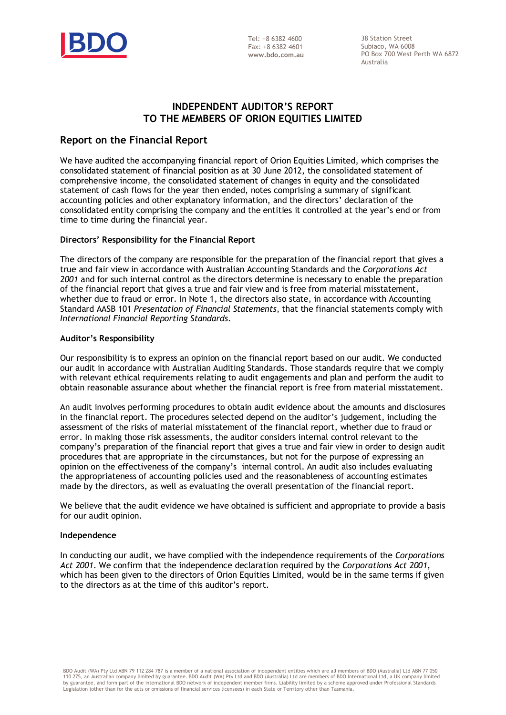

 $Tel: +863824600$ Fax: +8 6382 4601 **www.bdo.com.au** 

38 Station Street Subiaco, WA 6008 PO Box 700 West Perth WA 6872 Australia

## **INDEPENDENT AUDITOR'S REPORT TO THE MEMBERS OF ORION EQUITIES LIMITED**

## **Report on the Financial Report**

We have audited the accompanying financial report of Orion Equities Limited, which comprises the consolidated statement of financial position as at 30 June 2012, the consolidated statement of comprehensive income, the consolidated statement of changes in equity and the consolidated statement of cash flows for the year then ended, notes comprising a summary of significant accounting policies and other explanatory information, and the directors' declaration of the consolidated entity comprising the company and the entities it controlled at the year's end or from time to time during the financial year.

### **Directors' Responsibility for the Financial Report**

The directors of the company are responsible for the preparation of the financial report that gives a true and fair view in accordance with Australian Accounting Standards and the *Corporations Act 2001* and for such internal control as the directors determine is necessary to enable the preparation of the financial report that gives a true and fair view and is free from material misstatement, whether due to fraud or error. In Note 1, the directors also state, in accordance with Accounting Standard AASB 101 *Presentation of Financial Statements*, that the financial statements comply with *International Financial Reporting Standards*.

### **Auditor's Responsibility**

Our responsibility is to express an opinion on the financial report based on our audit. We conducted our audit in accordance with Australian Auditing Standards. Those standards require that we comply with relevant ethical requirements relating to audit engagements and plan and perform the audit to obtain reasonable assurance about whether the financial report is free from material misstatement.

An audit involves performing procedures to obtain audit evidence about the amounts and disclosures in the financial report. The procedures selected depend on the auditor's judgement, including the assessment of the risks of material misstatement of the financial report, whether due to fraud or error. In making those risk assessments, the auditor considers internal control relevant to the company's preparation of the financial report that gives a true and fair view in order to design audit procedures that are appropriate in the circumstances, but not for the purpose of expressing an opinion on the effectiveness of the company's internal control. An audit also includes evaluating the appropriateness of accounting policies used and the reasonableness of accounting estimates made by the directors, as well as evaluating the overall presentation of the financial report.

We believe that the audit evidence we have obtained is sufficient and appropriate to provide a basis for our audit opinion.

### **Independence**

In conducting our audit, we have complied with the independence requirements of the *Corporations Act 2001*. We confirm that the independence declaration required by the *Corporations Act 2001*, which has been given to the directors of Orion Equities Limited, would be in the same terms if given to the directors as at the time of this auditor's report.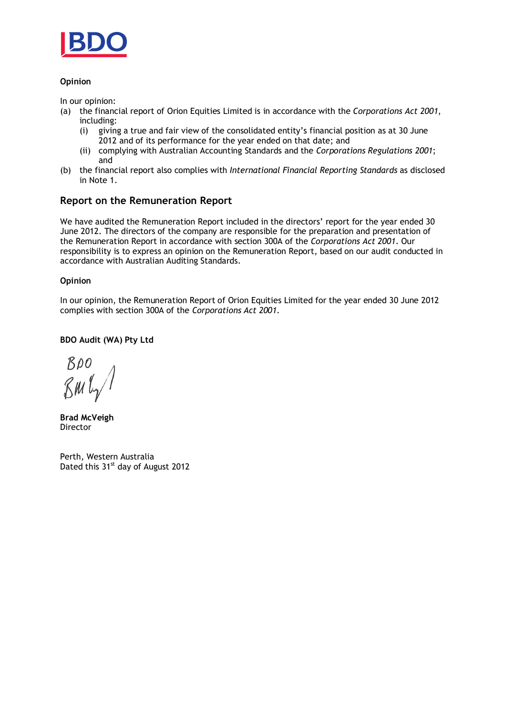

### **Opinion**

In our opinion:

- (a) the financial report of Orion Equities Limited is in accordance with the *Corporations Act 2001*, including:
	- (i) giving a true and fair view of the consolidated entity's financial position as at 30 June 2012 and of its performance for the year ended on that date; and
	- (ii) complying with Australian Accounting Standards and the *Corporations Regulations 2001*; and
- (b) the financial report also complies with *International Financial Reporting Standards* as disclosed in Note 1.

## **Report on the Remuneration Report**

We have audited the Remuneration Report included in the directors' report for the year ended 30 June 2012. The directors of the company are responsible for the preparation and presentation of the Remuneration Report in accordance with section 300A of the *Corporations Act 2001*. Our responsibility is to express an opinion on the Remuneration Report, based on our audit conducted in accordance with Australian Auditing Standards.

### **Opinion**

In our opinion, the Remuneration Report of Orion Equities Limited for the year ended 30 June 2012 complies with section 300A of the *Corporations Act 2001*.

### **BDO Audit (WA) Pty Ltd**

 $BDO$ 

**Brad McVeigh Director** 

Perth, Western Australia Dated this 31<sup>st</sup> day of August 2012